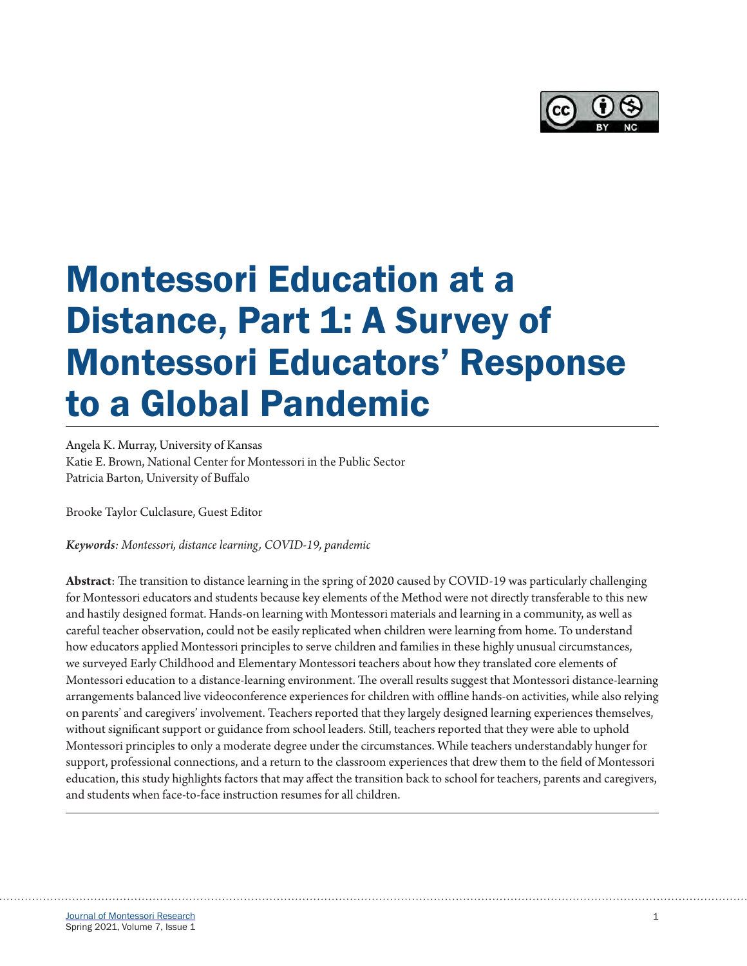

# Montessori Education at a Distance, Part 1: A Survey of Montessori Educators' Response to a Global Pandemic

Angela K. Murray, University of Kansas Katie E. Brown, National Center for Montessori in the Public Sector Patricia Barton, University of Buffalo

Brooke Taylor Culclasure, Guest Editor

*Keywords: Montessori, distance learning, COVID-19, pandemic* 

**Abstract**: The transition to distance learning in the spring of 2020 caused by COVID-19 was particularly challenging for Montessori educators and students because key elements of the Method were not directly transferable to this new and hastily designed format. Hands-on learning with Montessori materials and learning in a community, as well as careful teacher observation, could not be easily replicated when children were learning from home. To understand how educators applied Montessori principles to serve children and families in these highly unusual circumstances, we surveyed Early Childhood and Elementary Montessori teachers about how they translated core elements of Montessori education to a distance-learning environment. The overall results suggest that Montessori distance-learning arrangements balanced live videoconference experiences for children with offline hands-on activities, while also relying on parents' and caregivers' involvement. Teachers reported that they largely designed learning experiences themselves, without significant support or guidance from school leaders. Still, teachers reported that they were able to uphold Montessori principles to only a moderate degree under the circumstances. While teachers understandably hunger for support, professional connections, and a return to the classroom experiences that drew them to the field of Montessori education, this study highlights factors that may affect the transition back to school for teachers, parents and caregivers, and students when face-to-face instruction resumes for all children.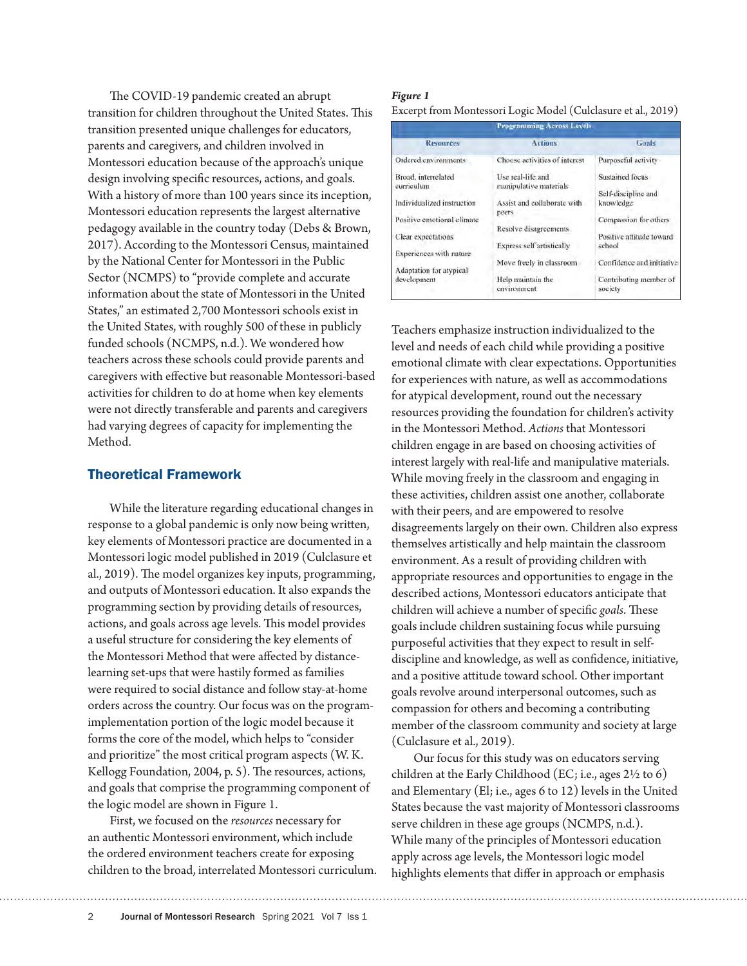The COVID-19 pandemic created an abrupt transition for children throughout the United States. This transition presented unique challenges for educators, parents and caregivers, and children involved in Montessori education because of the approach's unique design involving specific resources, actions, and goals. With a history of more than 100 years since its inception, Montessori education represents the largest alternative pedagogy available in the country today (Debs & Brown, 2017). According to the Montessori Census, maintained by the National Center for Montessori in the Public Sector (NCMPS) to "provide complete and accurate information about the state of Montessori in the United States," an estimated 2,700 Montessori schools exist in the United States, with roughly 500 of these in publicly funded schools (NCMPS, n.d.). We wondered how teachers across these schools could provide parents and caregivers with effective but reasonable Montessori-based activities for children to do at home when key elements were not directly transferable and parents and caregivers had varying degrees of capacity for implementing the Method.

## Theoretical Framework

While the literature regarding educational changes in response to a global pandemic is only now being written, key elements of Montessori practice are documented in a Montessori logic model published in 2019 (Culclasure et al., 2019). The model organizes key inputs, programming, and outputs of Montessori education. It also expands the programming section by providing details of resources, actions, and goals across age levels. This model provides a useful structure for considering the key elements of the Montessori Method that were affected by distancelearning set-ups that were hastily formed as families were required to social distance and follow stay-at-home orders across the country. Our focus was on the programimplementation portion of the logic model because it forms the core of the model, which helps to "consider and prioritize" the most critical program aspects (W. K. Kellogg Foundation, 2004, p. 5). The resources, actions, and goals that comprise the programming component of the logic model are shown in Figure 1.

First, we focused on the *resources* necessary for an authentic Montessori environment, which include the ordered environment teachers create for exposing children to the broad, interrelated Montessori curriculum.

#### *Figure 1* Excerpt from Montessori Logic Model (Culclasure et al., 2019)

|                                        | <b>Programming Across Levels</b>            |                                        |  |
|----------------------------------------|---------------------------------------------|----------------------------------------|--|
| <b>Resources</b>                       | <b>Actions</b>                              | Goals                                  |  |
| Ordered environments                   | Choose activities of interest               | Purposeful activity                    |  |
| Broad, interrelated<br>curriculum      | Use real-life and<br>manipulative materials | Sustained focus<br>Self-discipline and |  |
| Individualized instruction             | Assist and collaborate with<br>peers.       | knowledge                              |  |
| Positive emotional climate             | Resolve disagreements                       | Compassion for others                  |  |
| Clear expectations                     | <b>Express self artistically</b>            | Positive attitude toward<br>school     |  |
| Experiences with nature                | Move freely in classroom                    | Confidence and initiative              |  |
| Adaptation for atypical<br>development | Help maintain the<br>covironment            | Contributing member of<br>society      |  |

Teachers emphasize instruction individualized to the level and needs of each child while providing a positive emotional climate with clear expectations. Opportunities for experiences with nature, as well as accommodations for atypical development, round out the necessary resources providing the foundation for children's activity in the Montessori Method. *Actions* that Montessori children engage in are based on choosing activities of interest largely with real-life and manipulative materials. While moving freely in the classroom and engaging in these activities, children assist one another, collaborate with their peers, and are empowered to resolve disagreements largely on their own. Children also express themselves artistically and help maintain the classroom environment. As a result of providing children with appropriate resources and opportunities to engage in the described actions, Montessori educators anticipate that children will achieve a number of specific *goals*. These goals include children sustaining focus while pursuing purposeful activities that they expect to result in selfdiscipline and knowledge, as well as confidence, initiative, and a positive attitude toward school. Other important goals revolve around interpersonal outcomes, such as compassion for others and becoming a contributing member of the classroom community and society at large (Culclasure et al., 2019).

Our focus for this study was on educators serving children at the Early Childhood (EC; i.e., ages  $2\frac{1}{2}$  to 6) and Elementary (El; i.e., ages 6 to 12) levels in the United States because the vast majority of Montessori classrooms serve children in these age groups (NCMPS, n.d.). While many of the principles of Montessori education apply across age levels, the Montessori logic model highlights elements that differ in approach or emphasis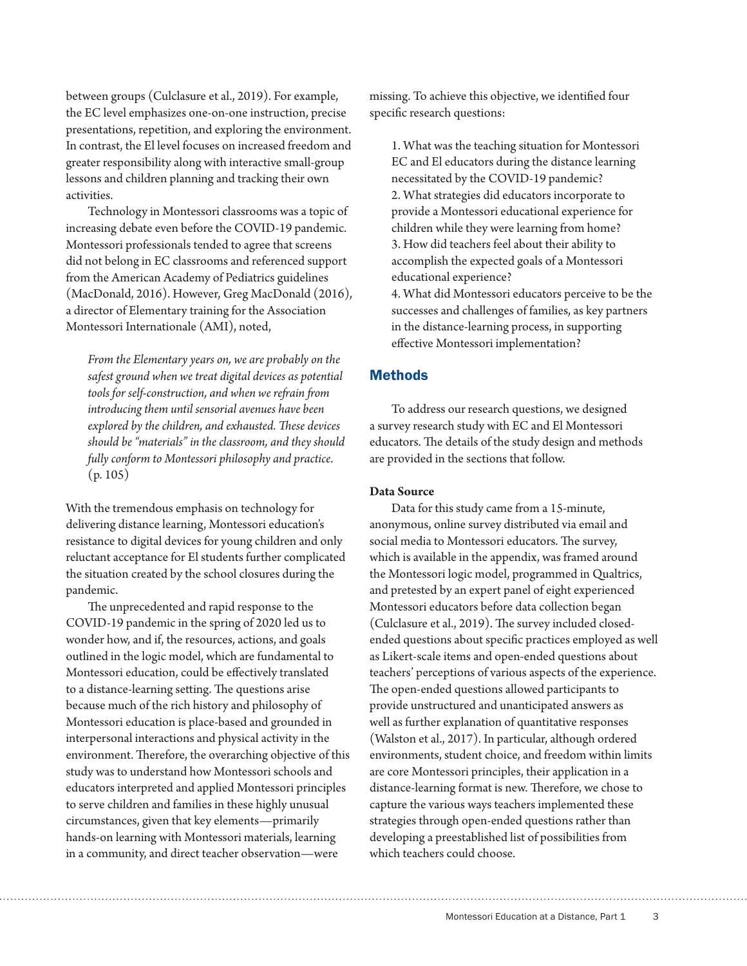between groups (Culclasure et al., 2019). For example, the EC level emphasizes one-on-one instruction, precise presentations, repetition, and exploring the environment. In contrast, the El level focuses on increased freedom and greater responsibility along with interactive small-group lessons and children planning and tracking their own activities.

Technology in Montessori classrooms was a topic of increasing debate even before the COVID-19 pandemic. Montessori professionals tended to agree that screens did not belong in EC classrooms and referenced support from the American Academy of Pediatrics guidelines (MacDonald, 2016). However, Greg MacDonald (2016), a director of Elementary training for the Association Montessori Internationale (AMI), noted,

*From the Elementary years on, we are probably on the safest ground when we treat digital devices as potential tools for self-construction, and when we refrain from introducing them until sensorial avenues have been explored by the children, and exhausted. These devices should be "materials" in the classroom, and they should fully conform to Montessori philosophy and practice*. (p. 105)

With the tremendous emphasis on technology for delivering distance learning, Montessori education's resistance to digital devices for young children and only reluctant acceptance for El students further complicated the situation created by the school closures during the pandemic.

The unprecedented and rapid response to the COVID-19 pandemic in the spring of 2020 led us to wonder how, and if, the resources, actions, and goals outlined in the logic model, which are fundamental to Montessori education, could be effectively translated to a distance-learning setting. The questions arise because much of the rich history and philosophy of Montessori education is place-based and grounded in interpersonal interactions and physical activity in the environment. Therefore, the overarching objective of this study was to understand how Montessori schools and educators interpreted and applied Montessori principles to serve children and families in these highly unusual circumstances, given that key elements—primarily hands-on learning with Montessori materials, learning in a community, and direct teacher observation—were

missing. To achieve this objective, we identified four specific research questions:

1. What was the teaching situation for Montessori EC and El educators during the distance learning necessitated by the COVID-19 pandemic? 2. What strategies did educators incorporate to provide a Montessori educational experience for children while they were learning from home? 3. How did teachers feel about their ability to accomplish the expected goals of a Montessori educational experience?

4. What did Montessori educators perceive to be the successes and challenges of families, as key partners in the distance-learning process, in supporting effective Montessori implementation?

## **Methods**

To address our research questions, we designed a survey research study with EC and El Montessori educators. The details of the study design and methods are provided in the sections that follow.

#### **Data Source**

Data for this study came from a 15-minute, anonymous, online survey distributed via email and social media to Montessori educators. The survey, which is available in the appendix, was framed around the Montessori logic model, programmed in Qualtrics, and pretested by an expert panel of eight experienced Montessori educators before data collection began (Culclasure et al., 2019). The survey included closedended questions about specific practices employed as well as Likert-scale items and open-ended questions about teachers' perceptions of various aspects of the experience. The open-ended questions allowed participants to provide unstructured and unanticipated answers as well as further explanation of quantitative responses (Walston et al., 2017). In particular, although ordered environments, student choice, and freedom within limits are core Montessori principles, their application in a distance-learning format is new. Therefore, we chose to capture the various ways teachers implemented these strategies through open-ended questions rather than developing a preestablished list of possibilities from which teachers could choose.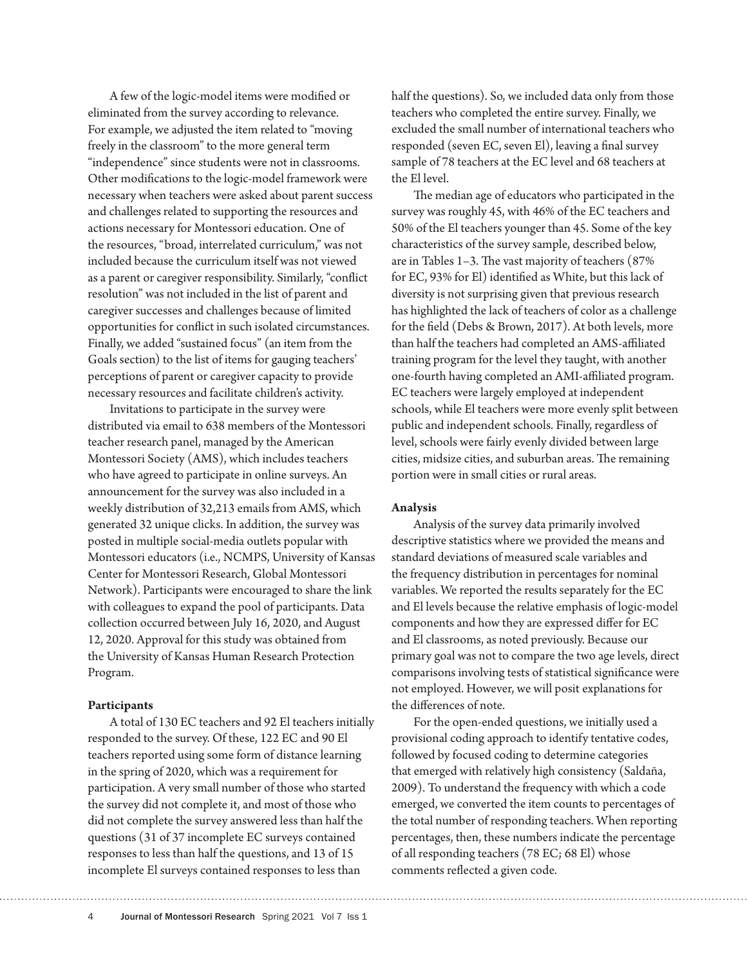A few of the logic-model items were modified or eliminated from the survey according to relevance. For example, we adjusted the item related to "moving freely in the classroom" to the more general term "independence" since students were not in classrooms. Other modifications to the logic-model framework were necessary when teachers were asked about parent success and challenges related to supporting the resources and actions necessary for Montessori education. One of the resources, "broad, interrelated curriculum," was not included because the curriculum itself was not viewed as a parent or caregiver responsibility. Similarly, "conflict resolution" was not included in the list of parent and caregiver successes and challenges because of limited opportunities for conflict in such isolated circumstances. Finally, we added "sustained focus" (an item from the Goals section) to the list of items for gauging teachers' perceptions of parent or caregiver capacity to provide necessary resources and facilitate children's activity.

Invitations to participate in the survey were distributed via email to 638 members of the Montessori teacher research panel, managed by the American Montessori Society (AMS), which includes teachers who have agreed to participate in online surveys. An announcement for the survey was also included in a weekly distribution of 32,213 emails from AMS, which generated 32 unique clicks. In addition, the survey was posted in multiple social-media outlets popular with Montessori educators (i.e., NCMPS, University of Kansas Center for Montessori Research, Global Montessori Network). Participants were encouraged to share the link with colleagues to expand the pool of participants. Data collection occurred between July 16, 2020, and August 12, 2020. Approval for this study was obtained from the University of Kansas Human Research Protection Program.

#### **Participants**

A total of 130 EC teachers and 92 El teachers initially responded to the survey. Of these, 122 EC and 90 El teachers reported using some form of distance learning in the spring of 2020, which was a requirement for participation. A very small number of those who started the survey did not complete it, and most of those who did not complete the survey answered less than half the questions (31 of 37 incomplete EC surveys contained responses to less than half the questions, and 13 of 15 incomplete El surveys contained responses to less than

half the questions). So, we included data only from those teachers who completed the entire survey. Finally, we excluded the small number of international teachers who responded (seven EC, seven El), leaving a final survey sample of 78 teachers at the EC level and 68 teachers at the El level.

The median age of educators who participated in the survey was roughly 45, with 46% of the EC teachers and 50% of the El teachers younger than 45. Some of the key characteristics of the survey sample, described below, are in Tables 1–3. The vast majority of teachers (87% for EC, 93% for El) identified as White, but this lack of diversity is not surprising given that previous research has highlighted the lack of teachers of color as a challenge for the field (Debs & Brown, 2017). At both levels, more than half the teachers had completed an AMS-affiliated training program for the level they taught, with another one-fourth having completed an AMI-affiliated program. EC teachers were largely employed at independent schools, while El teachers were more evenly split between public and independent schools. Finally, regardless of level, schools were fairly evenly divided between large cities, midsize cities, and suburban areas. The remaining portion were in small cities or rural areas.

#### **Analysis**

Analysis of the survey data primarily involved descriptive statistics where we provided the means and standard deviations of measured scale variables and the frequency distribution in percentages for nominal variables. We reported the results separately for the EC and El levels because the relative emphasis of logic-model components and how they are expressed differ for EC and El classrooms, as noted previously. Because our primary goal was not to compare the two age levels, direct comparisons involving tests of statistical significance were not employed. However, we will posit explanations for the differences of note.

For the open-ended questions, we initially used a provisional coding approach to identify tentative codes, followed by focused coding to determine categories that emerged with relatively high consistency (Saldaña, 2009). To understand the frequency with which a code emerged, we converted the item counts to percentages of the total number of responding teachers. When reporting percentages, then, these numbers indicate the percentage of all responding teachers (78 EC; 68 El) whose comments reflected a given code.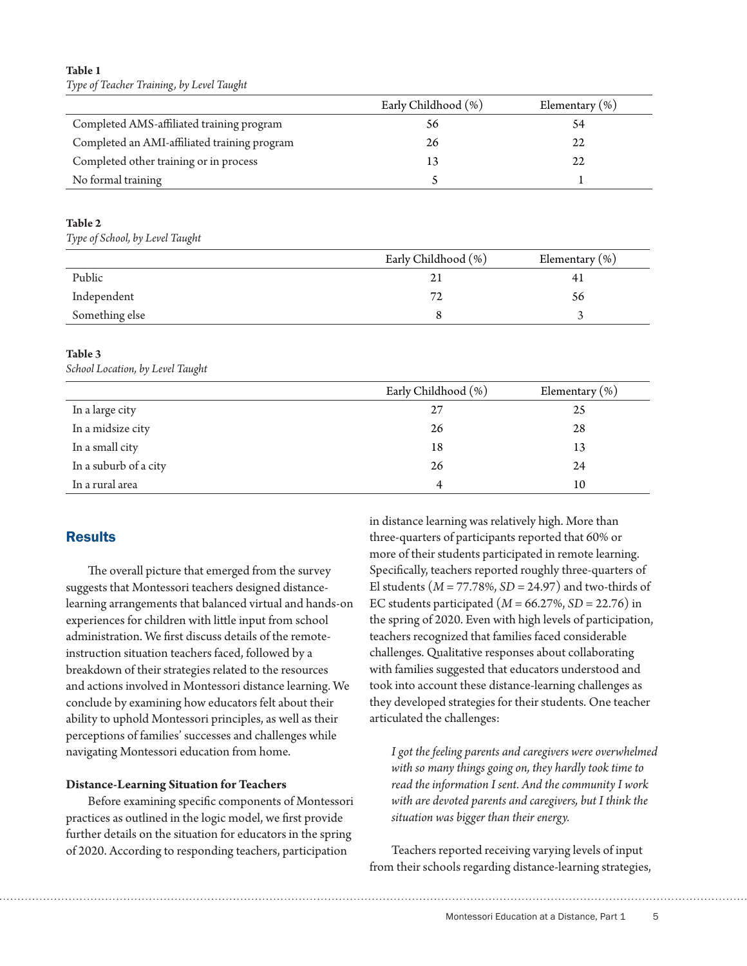## **Table 1** *Type of Teacher Training, by Level Taught*

|                                              | Early Childhood (%) | Elementary $(\%)$ |
|----------------------------------------------|---------------------|-------------------|
| Completed AMS-affiliated training program    | 56                  |                   |
| Completed an AMI-affiliated training program | 26                  | 22                |
| Completed other training or in process       |                     | 22                |
| No formal training                           |                     |                   |

## **Table 2**

*Type of School, by Level Taught*

|                | Early Childhood (%) | Elementary $(\%)$ |
|----------------|---------------------|-------------------|
| Public         |                     | 41                |
| Independent    | 72                  | 56                |
| Something else |                     |                   |

## **Table 3**

*School Location, by Level Taught*

|                       | Early Childhood (%) | Elementary $(\%)$ |
|-----------------------|---------------------|-------------------|
| In a large city       | 27                  | 25                |
| In a midsize city     | 26                  | 28                |
| In a small city       | 18                  | 13                |
| In a suburb of a city | 26                  | 24                |
| In a rural area       | 4                   | 10                |

# **Results**

The overall picture that emerged from the survey suggests that Montessori teachers designed distancelearning arrangements that balanced virtual and hands-on experiences for children with little input from school administration. We first discuss details of the remoteinstruction situation teachers faced, followed by a breakdown of their strategies related to the resources and actions involved in Montessori distance learning. We conclude by examining how educators felt about their ability to uphold Montessori principles, as well as their perceptions of families' successes and challenges while navigating Montessori education from home.

## **Distance-Learning Situation for Teachers**

Before examining specific components of Montessori practices as outlined in the logic model, we first provide further details on the situation for educators in the spring of 2020. According to responding teachers, participation

in distance learning was relatively high. More than three-quarters of participants reported that 60% or more of their students participated in remote learning. Specifically, teachers reported roughly three-quarters of El students (*M* = 77.78%, *SD* = 24.97) and two-thirds of EC students participated (*M* = 66.27%, *SD* = 22.76) in the spring of 2020. Even with high levels of participation, teachers recognized that families faced considerable challenges. Qualitative responses about collaborating with families suggested that educators understood and took into account these distance-learning challenges as they developed strategies for their students. One teacher articulated the challenges:

*I got the feeling parents and caregivers were overwhelmed with so many things going on, they hardly took time to read the information I sent. And the community I work with are devoted parents and caregivers, but I think the situation was bigger than their energy.*

Teachers reported receiving varying levels of input from their schools regarding distance-learning strategies,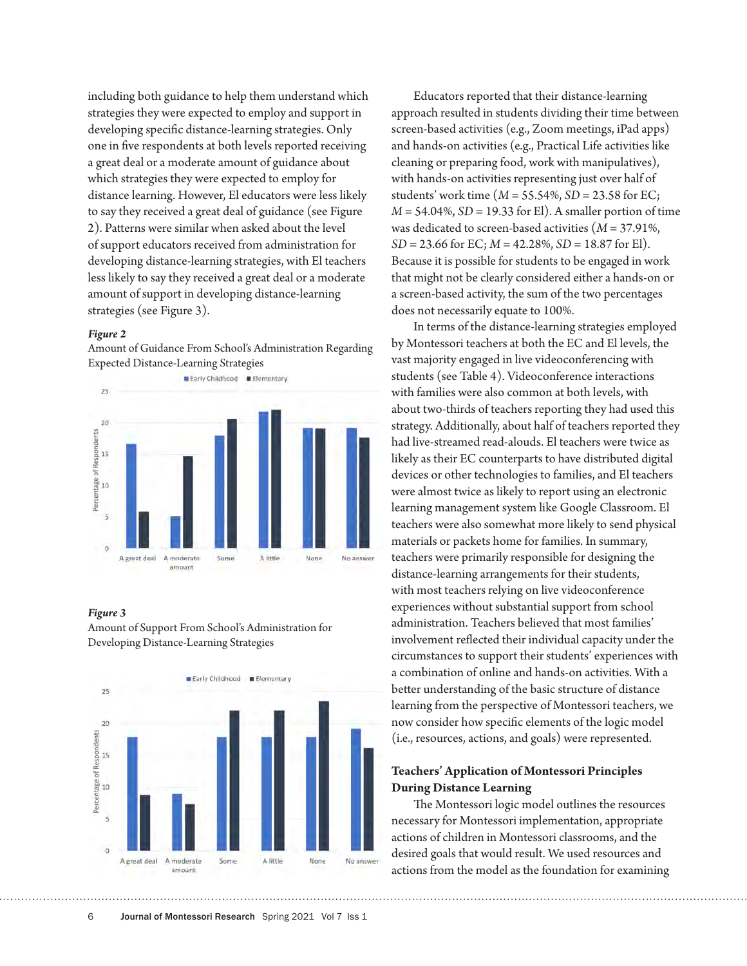including both guidance to help them understand which strategies they were expected to employ and support in developing specific distance-learning strategies. Only one in five respondents at both levels reported receiving a great deal or a moderate amount of guidance about which strategies they were expected to employ for distance learning. However, El educators were less likely to say they received a great deal of guidance (see Figure 2). Patterns were similar when asked about the level of support educators received from administration for developing distance-learning strategies, with El teachers less likely to say they received a great deal or a moderate amount of support in developing distance-learning strategies (see Figure 3).

#### *Figure 2*

Amount of Guidance From School's Administration Regarding Expected Distance-Learning Strategies



#### *Figure 3*

Amount of Support From School's Administration for Developing Distance-Learning Strategies



Educators reported that their distance-learning approach resulted in students dividing their time between screen-based activities (e.g., Zoom meetings, iPad apps) and hands-on activities (e.g., Practical Life activities like cleaning or preparing food, work with manipulatives), with hands-on activities representing just over half of students' work time (*M* = 55.54%, *SD* = 23.58 for EC; *M* = 54.04%, *SD* = 19.33 for El). A smaller portion of time was dedicated to screen-based activities (*M* = 37.91%, *SD* = 23.66 for EC; *M* = 42.28%, *SD* = 18.87 for El). Because it is possible for students to be engaged in work that might not be clearly considered either a hands-on or a screen-based activity, the sum of the two percentages does not necessarily equate to 100%.

In terms of the distance-learning strategies employed by Montessori teachers at both the EC and El levels, the vast majority engaged in live videoconferencing with students (see Table 4). Videoconference interactions with families were also common at both levels, with about two-thirds of teachers reporting they had used this strategy. Additionally, about half of teachers reported they had live-streamed read-alouds. El teachers were twice as likely as their EC counterparts to have distributed digital devices or other technologies to families, and El teachers were almost twice as likely to report using an electronic learning management system like Google Classroom. El teachers were also somewhat more likely to send physical materials or packets home for families. In summary, teachers were primarily responsible for designing the distance-learning arrangements for their students, with most teachers relying on live videoconference experiences without substantial support from school administration. Teachers believed that most families' involvement reflected their individual capacity under the circumstances to support their students' experiences with a combination of online and hands-on activities. With a better understanding of the basic structure of distance learning from the perspective of Montessori teachers, we now consider how specific elements of the logic model (i.e., resources, actions, and goals) were represented.

## **Teachers' Application of Montessori Principles During Distance Learning**

The Montessori logic model outlines the resources necessary for Montessori implementation, appropriate actions of children in Montessori classrooms, and the desired goals that would result. We used resources and actions from the model as the foundation for examining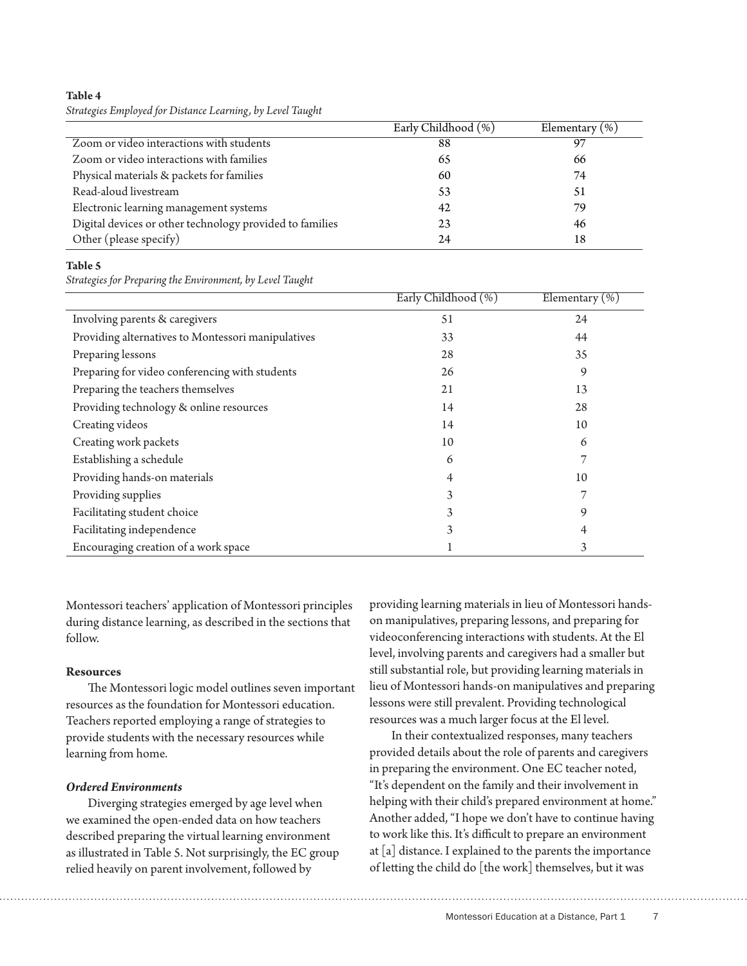**Table 4**

*Strategies Employed for Distance Learning, by Level Taught*

|                                                          | Early Childhood (%) | Elementary $(\%)$ |
|----------------------------------------------------------|---------------------|-------------------|
| Zoom or video interactions with students                 | 88                  | 97                |
| Zoom or video interactions with families                 | 65                  | 66                |
| Physical materials & packets for families                | 60                  | 74                |
| Read-aloud livestream                                    | 53                  | 51                |
| Electronic learning management systems                   | 42                  | 79                |
| Digital devices or other technology provided to families | 23                  | 46                |
| Other (please specify)                                   | 24                  | 18                |

#### **Table 5**

*Strategies for Preparing the Environment, by Level Taught*

|                                                    | Early Childhood (%) | Elementary $(\%)$ |
|----------------------------------------------------|---------------------|-------------------|
| Involving parents & caregivers                     | 51                  | 24                |
| Providing alternatives to Montessori manipulatives | 33                  | 44                |
| Preparing lessons                                  | 28                  | 35                |
| Preparing for video conferencing with students     | 26                  | 9                 |
| Preparing the teachers themselves                  | 21                  | 13                |
| Providing technology & online resources            | 14                  | 28                |
| Creating videos                                    | 14                  | 10                |
| Creating work packets                              | 10                  | 6                 |
| Establishing a schedule                            | 6                   |                   |
| Providing hands-on materials                       |                     | 10                |
| Providing supplies                                 | 3                   |                   |
| Facilitating student choice                        | 3                   | 9                 |
| Facilitating independence                          | 3                   |                   |
| Encouraging creation of a work space               |                     | 3                 |

Montessori teachers' application of Montessori principles during distance learning, as described in the sections that follow.

## **Resources**

The Montessori logic model outlines seven important resources as the foundation for Montessori education. Teachers reported employing a range of strategies to provide students with the necessary resources while learning from home.

## *Ordered Environments*

Diverging strategies emerged by age level when we examined the open-ended data on how teachers described preparing the virtual learning environment as illustrated in Table 5. Not surprisingly, the EC group relied heavily on parent involvement, followed by

providing learning materials in lieu of Montessori handson manipulatives, preparing lessons, and preparing for videoconferencing interactions with students. At the El level, involving parents and caregivers had a smaller but still substantial role, but providing learning materials in lieu of Montessori hands-on manipulatives and preparing lessons were still prevalent. Providing technological resources was a much larger focus at the El level.

In their contextualized responses, many teachers provided details about the role of parents and caregivers in preparing the environment. One EC teacher noted, "It's dependent on the family and their involvement in helping with their child's prepared environment at home." Another added, "I hope we don't have to continue having to work like this. It's difficult to prepare an environment at [a] distance. I explained to the parents the importance of letting the child do [the work] themselves, but it was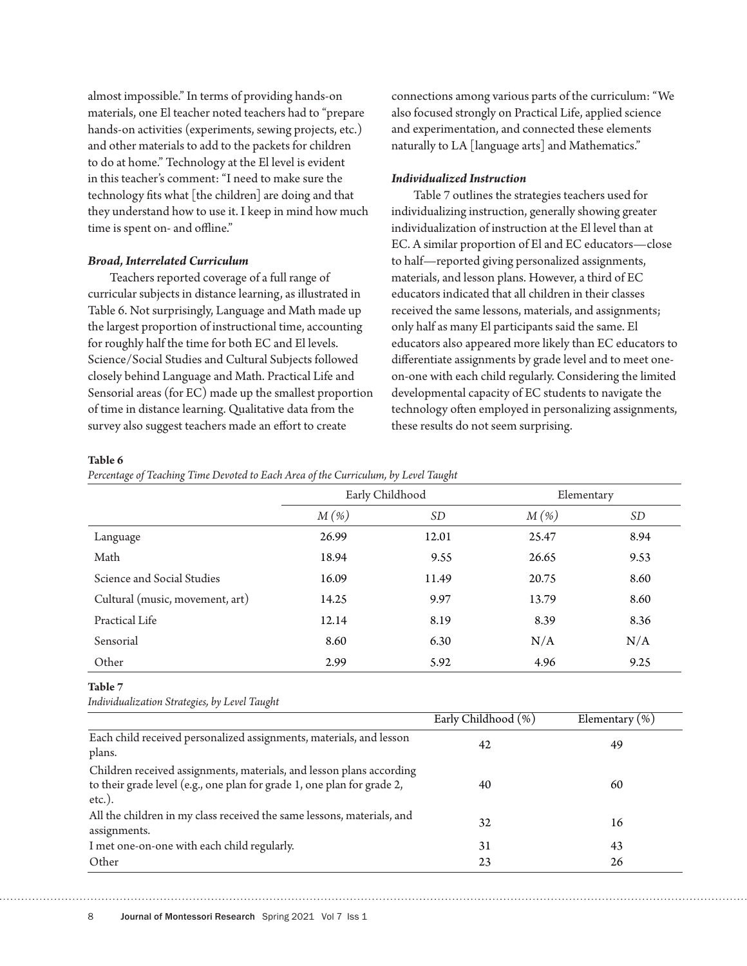almost impossible." In terms of providing hands-on materials, one El teacher noted teachers had to "prepare hands-on activities (experiments, sewing projects, etc.) and other materials to add to the packets for children to do at home." Technology at the El level is evident in this teacher's comment: "I need to make sure the technology fits what [the children] are doing and that they understand how to use it. I keep in mind how much time is spent on- and offline."

#### *Broad, Interrelated Curriculum*

Teachers reported coverage of a full range of curricular subjects in distance learning, as illustrated in Table 6. Not surprisingly, Language and Math made up the largest proportion of instructional time, accounting for roughly half the time for both EC and El levels. Science/Social Studies and Cultural Subjects followed closely behind Language and Math. Practical Life and Sensorial areas (for EC) made up the smallest proportion of time in distance learning. Qualitative data from the survey also suggest teachers made an effort to create

connections among various parts of the curriculum: "We also focused strongly on Practical Life, applied science and experimentation, and connected these elements naturally to LA [language arts] and Mathematics."

#### *Individualized Instruction*

Table 7 outlines the strategies teachers used for individualizing instruction, generally showing greater individualization of instruction at the El level than at EC. A similar proportion of El and EC educators—close to half—reported giving personalized assignments, materials, and lesson plans. However, a third of EC educators indicated that all children in their classes received the same lessons, materials, and assignments; only half as many El participants said the same. El educators also appeared more likely than EC educators to differentiate assignments by grade level and to meet oneon-one with each child regularly. Considering the limited developmental capacity of EC students to navigate the technology often employed in personalizing assignments, these results do not seem surprising.

#### **Table 6**

*Percentage of Teaching Time Devoted to Each Area of the Curriculum, by Level Taught*

| $\tilde{}$<br>$\tilde{}$        | Early Childhood |           | Elementary |      |
|---------------------------------|-----------------|-----------|------------|------|
|                                 | $M(\%)$         | <b>SD</b> | $M(\%)$    | SD   |
| Language                        | 26.99           | 12.01     | 25.47      | 8.94 |
| Math                            | 18.94           | 9.55      | 26.65      | 9.53 |
| Science and Social Studies      | 16.09           | 11.49     | 20.75      | 8.60 |
| Cultural (music, movement, art) | 14.25           | 9.97      | 13.79      | 8.60 |
| Practical Life                  | 12.14           | 8.19      | 8.39       | 8.36 |
| Sensorial                       | 8.60            | 6.30      | N/A        | N/A  |
| Other                           | 2.99            | 5.92      | 4.96       | 9.25 |

#### **Table 7**

*Individualization Strategies, by Level Taught*

|                                                                                                                                                              | Early Childhood (%) | Elementary $(\%)$ |
|--------------------------------------------------------------------------------------------------------------------------------------------------------------|---------------------|-------------------|
| Each child received personalized assignments, materials, and lesson<br>plans.                                                                                | 42                  | 49                |
| Children received assignments, materials, and lesson plans according<br>to their grade level (e.g., one plan for grade 1, one plan for grade 2,<br>$etc.$ ). | 40                  | 60                |
| All the children in my class received the same lessons, materials, and<br>assignments.                                                                       | 32                  | 16                |
| I met one-on-one with each child regularly.                                                                                                                  | 31                  | 43                |
| Other                                                                                                                                                        | 23                  | 26                |

8 Journal of Montessori Research Spring 2021 Vol 7 Iss 1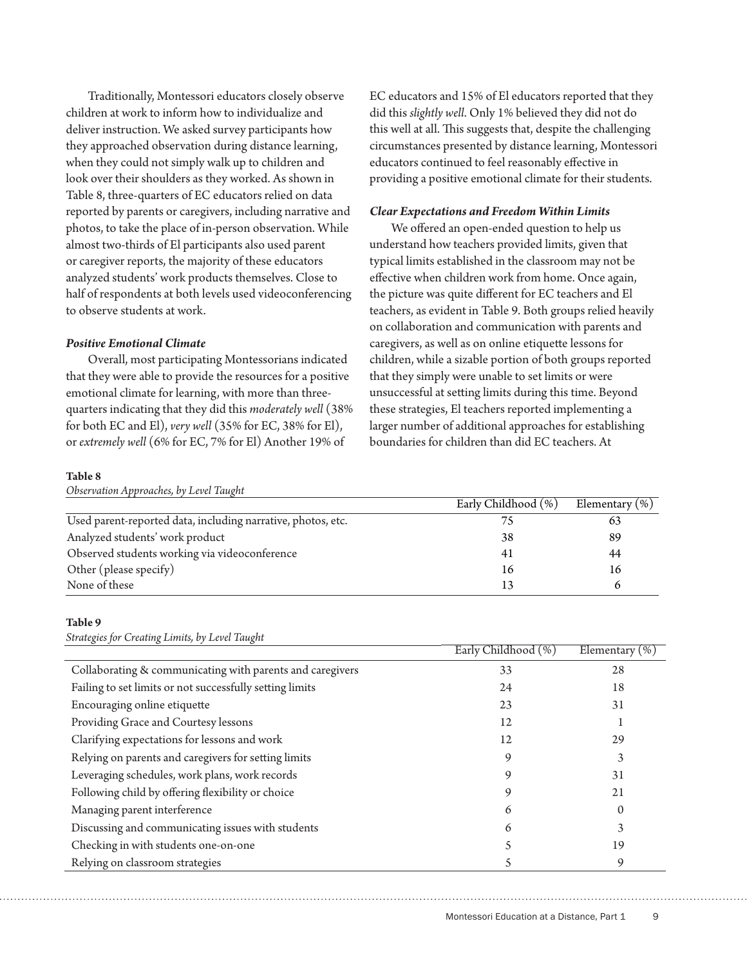Traditionally, Montessori educators closely observe children at work to inform how to individualize and deliver instruction. We asked survey participants how they approached observation during distance learning, when they could not simply walk up to children and look over their shoulders as they worked. As shown in Table 8, three-quarters of EC educators relied on data reported by parents or caregivers, including narrative and photos, to take the place of in-person observation. While almost two-thirds of El participants also used parent or caregiver reports, the majority of these educators analyzed students' work products themselves. Close to half of respondents at both levels used videoconferencing to observe students at work.

#### *Positive Emotional Climate*

Overall, most participating Montessorians indicated that they were able to provide the resources for a positive emotional climate for learning, with more than threequarters indicating that they did this *moderately well* (38% for both EC and El), *very well* (35% for EC, 38% for El), or *extremely well* (6% for EC, 7% for El) Another 19% of

EC educators and 15% of El educators reported that they did this *slightly well*. Only 1% believed they did not do this well at all. This suggests that, despite the challenging circumstances presented by distance learning, Montessori educators continued to feel reasonably effective in providing a positive emotional climate for their students.

#### *Clear Expectations and Freedom Within Limits*

We offered an open-ended question to help us understand how teachers provided limits, given that typical limits established in the classroom may not be effective when children work from home. Once again, the picture was quite different for EC teachers and El teachers, as evident in Table 9. Both groups relied heavily on collaboration and communication with parents and caregivers, as well as on online etiquette lessons for children, while a sizable portion of both groups reported that they simply were unable to set limits or were unsuccessful at setting limits during this time. Beyond these strategies, El teachers reported implementing a larger number of additional approaches for establishing boundaries for children than did EC teachers. At

#### **Table 8**

| Observation Approaches, by Level Taught                      |                     |                    |
|--------------------------------------------------------------|---------------------|--------------------|
|                                                              | Early Childhood (%) | Elementary $(\% )$ |
| Used parent-reported data, including narrative, photos, etc. |                     | 63                 |
| Analyzed students' work product                              | 38                  | 89                 |
| Observed students working via videoconference                | 41                  | 44                 |
| Other (please specify)                                       | 16                  | 16                 |
| None of these                                                |                     |                    |

#### **Table 9**

*Strategies for Creating Limits, by Level Taught*

|                                                           | Early Childhood (%) | Elementary $(\%)$ |
|-----------------------------------------------------------|---------------------|-------------------|
| Collaborating & communicating with parents and caregivers | 33                  | 28                |
| Failing to set limits or not successfully setting limits  | 24                  | 18                |
| Encouraging online etiquette                              | 23                  | 31                |
| Providing Grace and Courtesy lessons                      | 12                  |                   |
| Clarifying expectations for lessons and work              | 12                  | 29                |
| Relying on parents and caregivers for setting limits      | 9                   | 3                 |
| Leveraging schedules, work plans, work records            | 9                   | 31                |
| Following child by offering flexibility or choice         | 9                   | 21                |
| Managing parent interference                              | 6                   | $\Omega$          |
| Discussing and communicating issues with students         | 6                   | 3                 |
| Checking in with students one-on-one                      |                     | 19                |
| Relying on classroom strategies                           |                     | 9                 |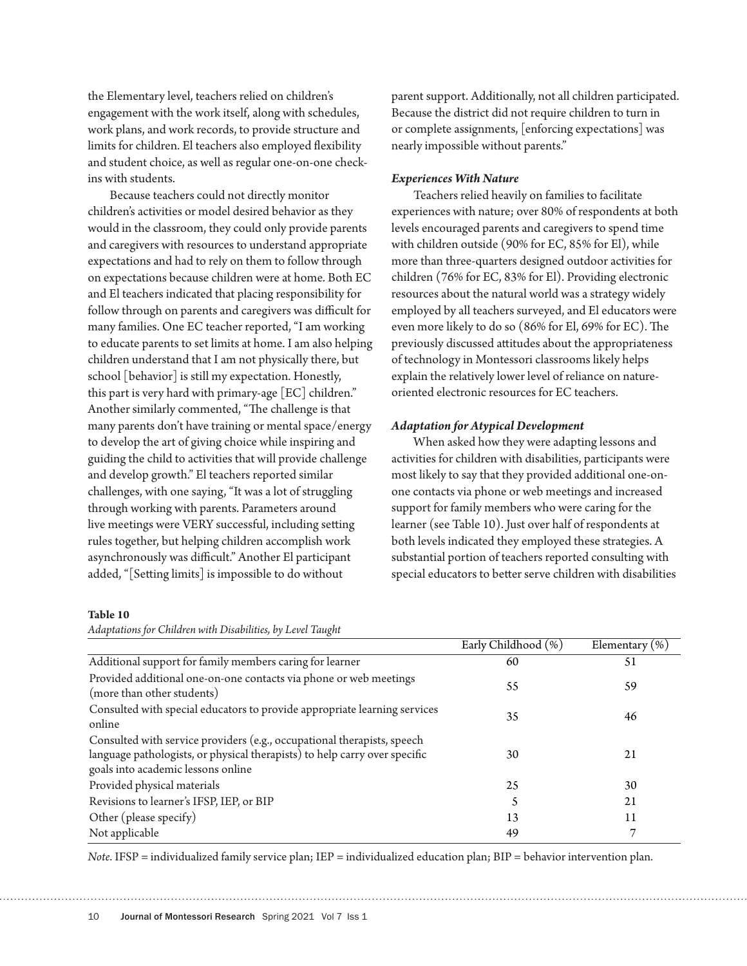the Elementary level, teachers relied on children's engagement with the work itself, along with schedules, work plans, and work records, to provide structure and limits for children. El teachers also employed flexibility and student choice, as well as regular one-on-one checkins with students.

Because teachers could not directly monitor children's activities or model desired behavior as they would in the classroom, they could only provide parents and caregivers with resources to understand appropriate expectations and had to rely on them to follow through on expectations because children were at home. Both EC and El teachers indicated that placing responsibility for follow through on parents and caregivers was difficult for many families. One EC teacher reported, "I am working to educate parents to set limits at home. I am also helping children understand that I am not physically there, but school [behavior] is still my expectation. Honestly, this part is very hard with primary-age [EC] children." Another similarly commented, "The challenge is that many parents don't have training or mental space/energy to develop the art of giving choice while inspiring and guiding the child to activities that will provide challenge and develop growth." El teachers reported similar challenges, with one saying, "It was a lot of struggling through working with parents. Parameters around live meetings were VERY successful, including setting rules together, but helping children accomplish work asynchronously was difficult." Another El participant added, "[Setting limits] is impossible to do without

parent support. Additionally, not all children participated. Because the district did not require children to turn in or complete assignments, [enforcing expectations] was nearly impossible without parents."

#### *Experiences With Nature*

Teachers relied heavily on families to facilitate experiences with nature; over 80% of respondents at both levels encouraged parents and caregivers to spend time with children outside (90% for EC, 85% for El), while more than three-quarters designed outdoor activities for children (76% for EC, 83% for El). Providing electronic resources about the natural world was a strategy widely employed by all teachers surveyed, and El educators were even more likely to do so (86% for El, 69% for EC). The previously discussed attitudes about the appropriateness of technology in Montessori classrooms likely helps explain the relatively lower level of reliance on natureoriented electronic resources for EC teachers.

#### *Adaptation for Atypical Development*

When asked how they were adapting lessons and activities for children with disabilities, participants were most likely to say that they provided additional one-onone contacts via phone or web meetings and increased support for family members who were caring for the learner (see Table 10). Just over half of respondents at both levels indicated they employed these strategies. A substantial portion of teachers reported consulting with special educators to better serve children with disabilities

#### **Table 10**

*Adaptations for Children with Disabilities, by Level Taught*

|                                                                                                                                                                                             | Early Childhood (%) | Elementary $(\%)$ |
|---------------------------------------------------------------------------------------------------------------------------------------------------------------------------------------------|---------------------|-------------------|
| Additional support for family members caring for learner                                                                                                                                    | 60                  | 51                |
| Provided additional one-on-one contacts via phone or web meetings<br>(more than other students)                                                                                             | 55                  | 59                |
| Consulted with special educators to provide appropriate learning services<br>online                                                                                                         | 35                  | 46                |
| Consulted with service providers (e.g., occupational therapists, speech<br>language pathologists, or physical therapists) to help carry over specific<br>goals into academic lessons online | 30                  | 21                |
| Provided physical materials                                                                                                                                                                 | 25                  | 30                |
| Revisions to learner's IFSP, IEP, or BIP                                                                                                                                                    |                     | 21                |
| Other (please specify)                                                                                                                                                                      | 13                  | 11                |
| Not applicable                                                                                                                                                                              | 49                  | ⇁                 |

*Note*. IFSP = individualized family service plan; IEP = individualized education plan; BIP = behavior intervention plan.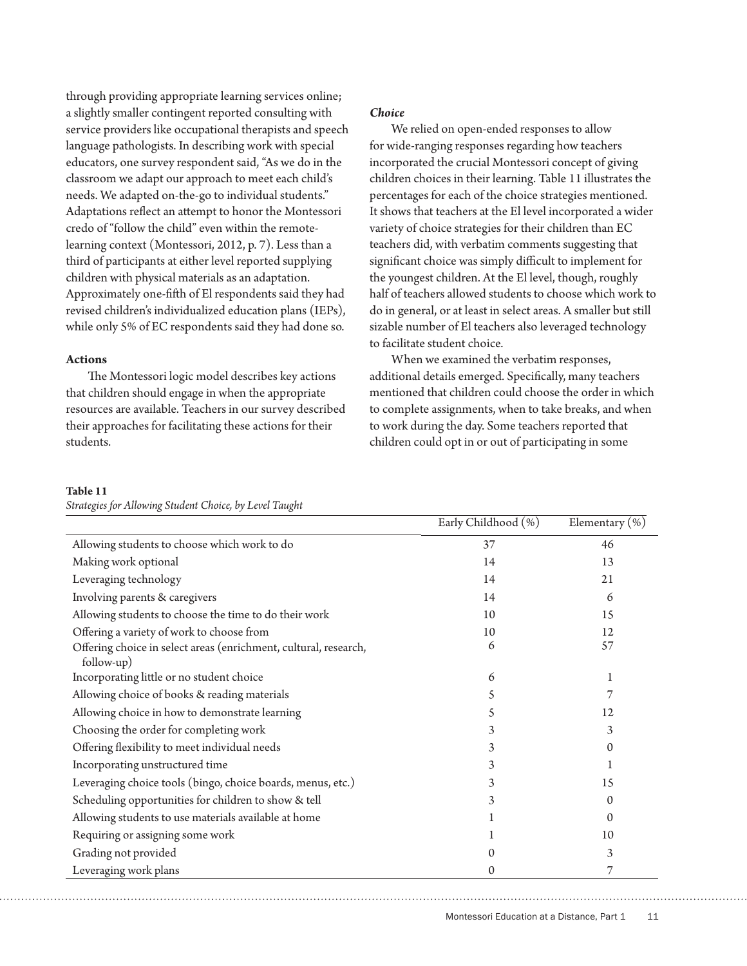through providing appropriate learning services online; a slightly smaller contingent reported consulting with service providers like occupational therapists and speech language pathologists. In describing work with special educators, one survey respondent said, "As we do in the classroom we adapt our approach to meet each child's needs. We adapted on-the-go to individual students." Adaptations reflect an attempt to honor the Montessori credo of "follow the child" even within the remotelearning context (Montessori, 2012, p. 7). Less than a third of participants at either level reported supplying children with physical materials as an adaptation. Approximately one-fifth of El respondents said they had revised children's individualized education plans (IEPs), while only 5% of EC respondents said they had done so.

#### **Actions**

The Montessori logic model describes key actions that children should engage in when the appropriate resources are available. Teachers in our survey described their approaches for facilitating these actions for their students.

*Strategies for Allowing Student Choice, by Level Taught*

## *Choice*

We relied on open-ended responses to allow for wide-ranging responses regarding how teachers incorporated the crucial Montessori concept of giving children choices in their learning. Table 11 illustrates the percentages for each of the choice strategies mentioned. It shows that teachers at the El level incorporated a wider variety of choice strategies for their children than EC teachers did, with verbatim comments suggesting that significant choice was simply difficult to implement for the youngest children. At the El level, though, roughly half of teachers allowed students to choose which work to do in general, or at least in select areas. A smaller but still sizable number of El teachers also leveraged technology to facilitate student choice.

When we examined the verbatim responses, additional details emerged. Specifically, many teachers mentioned that children could choose the order in which to complete assignments, when to take breaks, and when to work during the day. Some teachers reported that children could opt in or out of participating in some

#### **Table 11**

|                                                                                | Early Childhood (%) | Elementary $(\%)$ |
|--------------------------------------------------------------------------------|---------------------|-------------------|
| Allowing students to choose which work to do                                   | 37                  | 46                |
| Making work optional                                                           | 14                  | 13                |
| Leveraging technology                                                          | 14                  | 21                |
| Involving parents & caregivers                                                 | 14                  | 6                 |
| Allowing students to choose the time to do their work                          | 10                  | 15                |
| Offering a variety of work to choose from                                      | 10                  | 12                |
| Offering choice in select areas (enrichment, cultural, research,<br>follow-up) | 6                   | 57                |
| Incorporating little or no student choice                                      | 6                   |                   |
| Allowing choice of books & reading materials                                   | 5                   |                   |
| Allowing choice in how to demonstrate learning                                 | 5                   | 12                |
| Choosing the order for completing work                                         | 3                   | 3                 |
| Offering flexibility to meet individual needs                                  | 3                   | $\Omega$          |
| Incorporating unstructured time                                                |                     |                   |
| Leveraging choice tools (bingo, choice boards, menus, etc.)                    | 3                   | 15                |
| Scheduling opportunities for children to show & tell                           | 3                   | $\Omega$          |
| Allowing students to use materials available at home                           |                     | $\Omega$          |
| Requiring or assigning some work                                               |                     | 10                |
| Grading not provided                                                           |                     | 3                 |
| Leveraging work plans                                                          | 0                   | 7                 |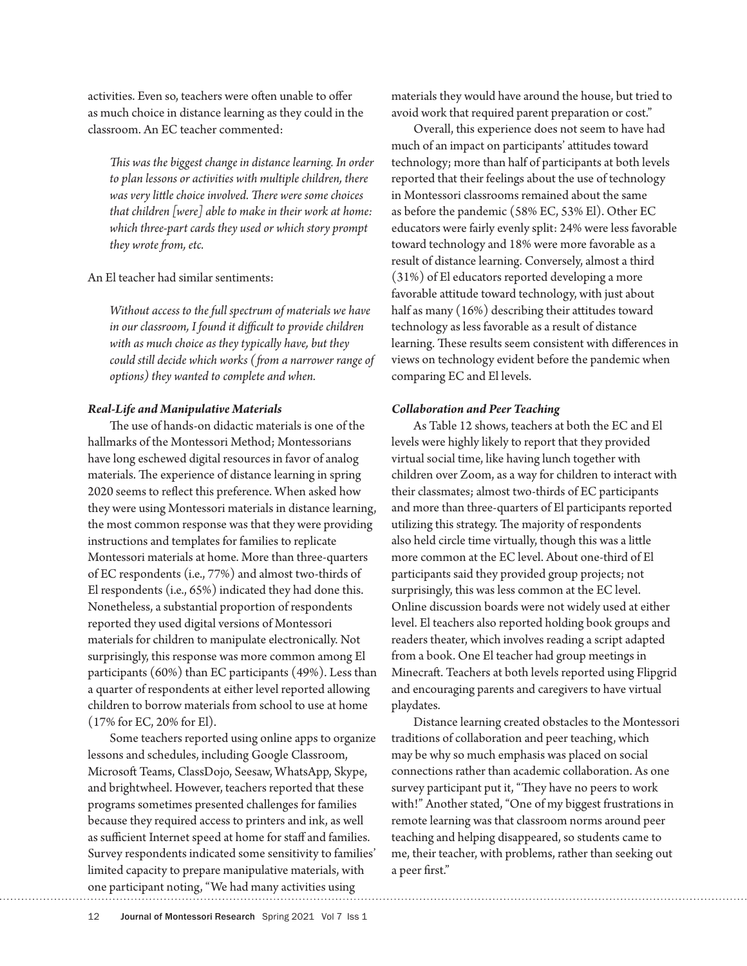activities. Even so, teachers were often unable to offer as much choice in distance learning as they could in the classroom. An EC teacher commented:

*This was the biggest change in distance learning. In order to plan lessons or activities with multiple children, there was very little choice involved. There were some choices that children [were] able to make in their work at home: which three-part cards they used or which story prompt they wrote from, etc.*

#### An El teacher had similar sentiments:

*Without access to the full spectrum of materials we have in our classroom, I found it difficult to provide children with as much choice as they typically have, but they could still decide which works (from a narrower range of options) they wanted to complete and when.*

#### *Real-Life and Manipulative Materials*

The use of hands-on didactic materials is one of the hallmarks of the Montessori Method; Montessorians have long eschewed digital resources in favor of analog materials. The experience of distance learning in spring 2020 seems to reflect this preference. When asked how they were using Montessori materials in distance learning, the most common response was that they were providing instructions and templates for families to replicate Montessori materials at home. More than three-quarters of EC respondents (i.e., 77%) and almost two-thirds of El respondents (i.e., 65%) indicated they had done this. Nonetheless, a substantial proportion of respondents reported they used digital versions of Montessori materials for children to manipulate electronically. Not surprisingly, this response was more common among El participants (60%) than EC participants (49%). Less than a quarter of respondents at either level reported allowing children to borrow materials from school to use at home (17% for EC, 20% for El).

Some teachers reported using online apps to organize lessons and schedules, including Google Classroom, Microsoft Teams, ClassDojo, Seesaw, WhatsApp, Skype, and brightwheel. However, teachers reported that these programs sometimes presented challenges for families because they required access to printers and ink, as well as sufficient Internet speed at home for staff and families. Survey respondents indicated some sensitivity to families' limited capacity to prepare manipulative materials, with one participant noting, "We had many activities using

materials they would have around the house, but tried to avoid work that required parent preparation or cost."

Overall, this experience does not seem to have had much of an impact on participants' attitudes toward technology; more than half of participants at both levels reported that their feelings about the use of technology in Montessori classrooms remained about the same as before the pandemic (58% EC, 53% El). Other EC educators were fairly evenly split: 24% were less favorable toward technology and 18% were more favorable as a result of distance learning. Conversely, almost a third (31%) of El educators reported developing a more favorable attitude toward technology, with just about half as many (16%) describing their attitudes toward technology as less favorable as a result of distance learning. These results seem consistent with differences in views on technology evident before the pandemic when comparing EC and El levels.

#### *Collaboration and Peer Teaching*

As Table 12 shows, teachers at both the EC and El levels were highly likely to report that they provided virtual social time, like having lunch together with children over Zoom, as a way for children to interact with their classmates; almost two-thirds of EC participants and more than three-quarters of El participants reported utilizing this strategy. The majority of respondents also held circle time virtually, though this was a little more common at the EC level. About one-third of El participants said they provided group projects; not surprisingly, this was less common at the EC level. Online discussion boards were not widely used at either level. El teachers also reported holding book groups and readers theater, which involves reading a script adapted from a book. One El teacher had group meetings in Minecraft. Teachers at both levels reported using Flipgrid and encouraging parents and caregivers to have virtual playdates.

Distance learning created obstacles to the Montessori traditions of collaboration and peer teaching, which may be why so much emphasis was placed on social connections rather than academic collaboration. As one survey participant put it, "They have no peers to work with!" Another stated, "One of my biggest frustrations in remote learning was that classroom norms around peer teaching and helping disappeared, so students came to me, their teacher, with problems, rather than seeking out a peer first."

12 Journal of Montessori Research Spring 2021 Vol 7 Iss 1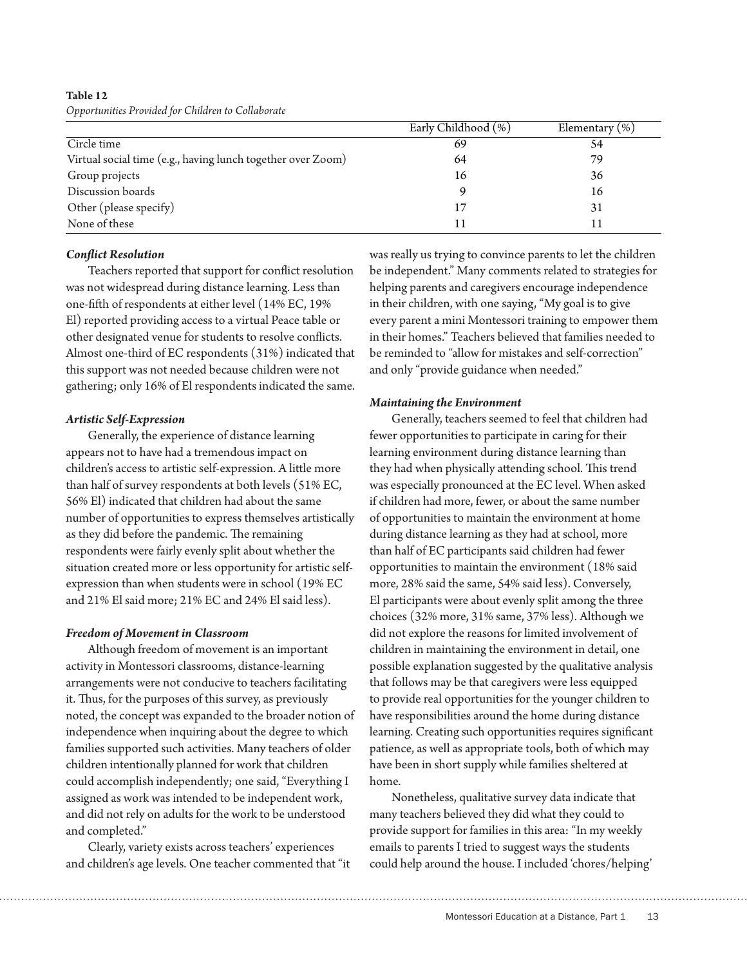**Table 12** *Opportunities Provided for Children to Collaborate*

|                                                             | Early Childhood (%) | Elementary $(\%)$ |
|-------------------------------------------------------------|---------------------|-------------------|
| Circle time                                                 | 69                  | 54                |
| Virtual social time (e.g., having lunch together over Zoom) | 64                  | 79                |
| Group projects                                              | 16                  | 36                |
| Discussion boards                                           |                     | 16                |
| Other (please specify)                                      |                     | 31                |
| None of these                                               |                     |                   |

## *Conflict Resolution*

Teachers reported that support for conflict resolution was not widespread during distance learning. Less than one-fifth of respondents at either level (14% EC, 19% El) reported providing access to a virtual Peace table or other designated venue for students to resolve conflicts. Almost one-third of EC respondents (31%) indicated that this support was not needed because children were not gathering; only 16% of El respondents indicated the same.

## *Artistic Self-Expression*

Generally, the experience of distance learning appears not to have had a tremendous impact on children's access to artistic self-expression. A little more than half of survey respondents at both levels (51% EC, 56% El) indicated that children had about the same number of opportunities to express themselves artistically as they did before the pandemic. The remaining respondents were fairly evenly split about whether the situation created more or less opportunity for artistic selfexpression than when students were in school (19% EC and 21% El said more; 21% EC and 24% El said less).

## *Freedom of Movement in Classroom*

Although freedom of movement is an important activity in Montessori classrooms, distance-learning arrangements were not conducive to teachers facilitating it. Thus, for the purposes of this survey, as previously noted, the concept was expanded to the broader notion of independence when inquiring about the degree to which families supported such activities. Many teachers of older children intentionally planned for work that children could accomplish independently; one said, "Everything I assigned as work was intended to be independent work, and did not rely on adults for the work to be understood and completed."

Clearly, variety exists across teachers' experiences and children's age levels. One teacher commented that "it was really us trying to convince parents to let the children be independent." Many comments related to strategies for helping parents and caregivers encourage independence in their children, with one saying, "My goal is to give every parent a mini Montessori training to empower them in their homes." Teachers believed that families needed to be reminded to "allow for mistakes and self-correction" and only "provide guidance when needed."

## *Maintaining the Environment*

Generally, teachers seemed to feel that children had fewer opportunities to participate in caring for their learning environment during distance learning than they had when physically attending school. This trend was especially pronounced at the EC level. When asked if children had more, fewer, or about the same number of opportunities to maintain the environment at home during distance learning as they had at school, more than half of EC participants said children had fewer opportunities to maintain the environment (18% said more, 28% said the same, 54% said less). Conversely, El participants were about evenly split among the three choices (32% more, 31% same, 37% less). Although we did not explore the reasons for limited involvement of children in maintaining the environment in detail, one possible explanation suggested by the qualitative analysis that follows may be that caregivers were less equipped to provide real opportunities for the younger children to have responsibilities around the home during distance learning. Creating such opportunities requires significant patience, as well as appropriate tools, both of which may have been in short supply while families sheltered at home.

Nonetheless, qualitative survey data indicate that many teachers believed they did what they could to provide support for families in this area: "In my weekly emails to parents I tried to suggest ways the students could help around the house. I included 'chores/helping'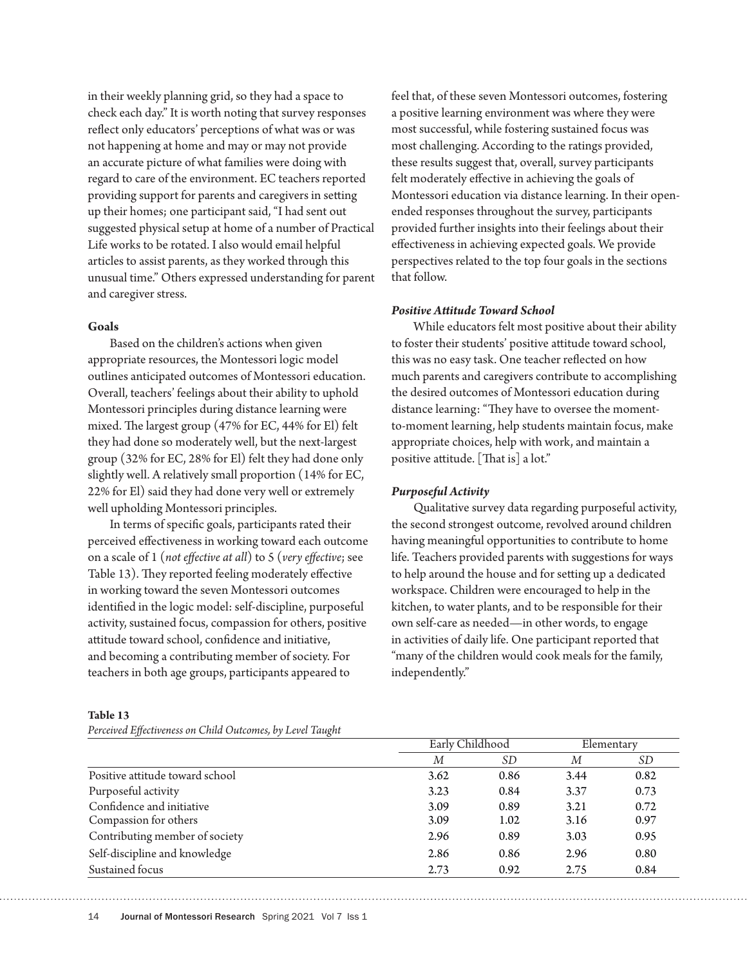in their weekly planning grid, so they had a space to check each day." It is worth noting that survey responses reflect only educators' perceptions of what was or was not happening at home and may or may not provide an accurate picture of what families were doing with regard to care of the environment. EC teachers reported providing support for parents and caregivers in setting up their homes; one participant said,"I had sent out suggested physical setup at home of a number of Practical Life works to be rotated. I also would email helpful articles to assist parents, as they worked through this unusual time." Others expressed understanding for parent and caregiver stress.

#### **Goals**

Based on the children's actions when given appropriate resources, the Montessori logic model outlines anticipated outcomes of Montessori education. Overall, teachers' feelings about their ability to uphold Montessori principles during distance learning were mixed. The largest group (47% for EC, 44% for El) felt they had done so moderately well, but the next-largest group (32% for EC, 28% for El) felt they had done only slightly well. A relatively small proportion (14% for EC, 22% for El) said they had done very well or extremely well upholding Montessori principles.

In terms of specific goals, participants rated their perceived effectiveness in working toward each outcome on a scale of 1 (*not effective at all*) to 5 (*very effective*; see Table 13). They reported feeling moderately effective in working toward the seven Montessori outcomes identified in the logic model: self-discipline, purposeful activity, sustained focus, compassion for others, positive attitude toward school, confidence and initiative, and becoming a contributing member of society. For teachers in both age groups, participants appeared to

**Table 13**

*Perceived Effectiveness on Child Outcomes, by Level Taught*

feel that, of these seven Montessori outcomes, fostering a positive learning environment was where they were most successful, while fostering sustained focus was most challenging. According to the ratings provided, these results suggest that, overall, survey participants felt moderately effective in achieving the goals of Montessori education via distance learning. In their openended responses throughout the survey, participants provided further insights into their feelings about their effectiveness in achieving expected goals. We provide perspectives related to the top four goals in the sections that follow.

#### *Positive Attitude Toward School*

While educators felt most positive about their ability to foster their students' positive attitude toward school, this was no easy task. One teacher reflected on how much parents and caregivers contribute to accomplishing the desired outcomes of Montessori education during distance learning: "They have to oversee the momentto-moment learning, help students maintain focus, make appropriate choices, help with work, and maintain a positive attitude. [That is] a lot."

#### *Purposeful Activity*

Qualitative survey data regarding purposeful activity, the second strongest outcome, revolved around children having meaningful opportunities to contribute to home life. Teachers provided parents with suggestions for ways to help around the house and for setting up a dedicated workspace. Children were encouraged to help in the kitchen, to water plants, and to be responsible for their own self-care as needed—in other words, to engage in activities of daily life. One participant reported that "many of the children would cook meals for the family, independently."

|                                 | Early Childhood |      | Elementary |           |
|---------------------------------|-----------------|------|------------|-----------|
|                                 | М               | SD   | М          | <i>SD</i> |
| Positive attitude toward school | 3.62            | 0.86 | 3.44       | 0.82      |
| Purposeful activity             | 3.23            | 0.84 | 3.37       | 0.73      |
| Confidence and initiative       | 3.09            | 0.89 | 3.21       | 0.72      |
| Compassion for others           | 3.09            | 1.02 | 3.16       | 0.97      |
| Contributing member of society  | 2.96            | 0.89 | 3.03       | 0.95      |
| Self-discipline and knowledge   | 2.86            | 0.86 | 2.96       | 0.80      |
| Sustained focus                 | 2.73            | 0.92 | 2.75       | 0.84      |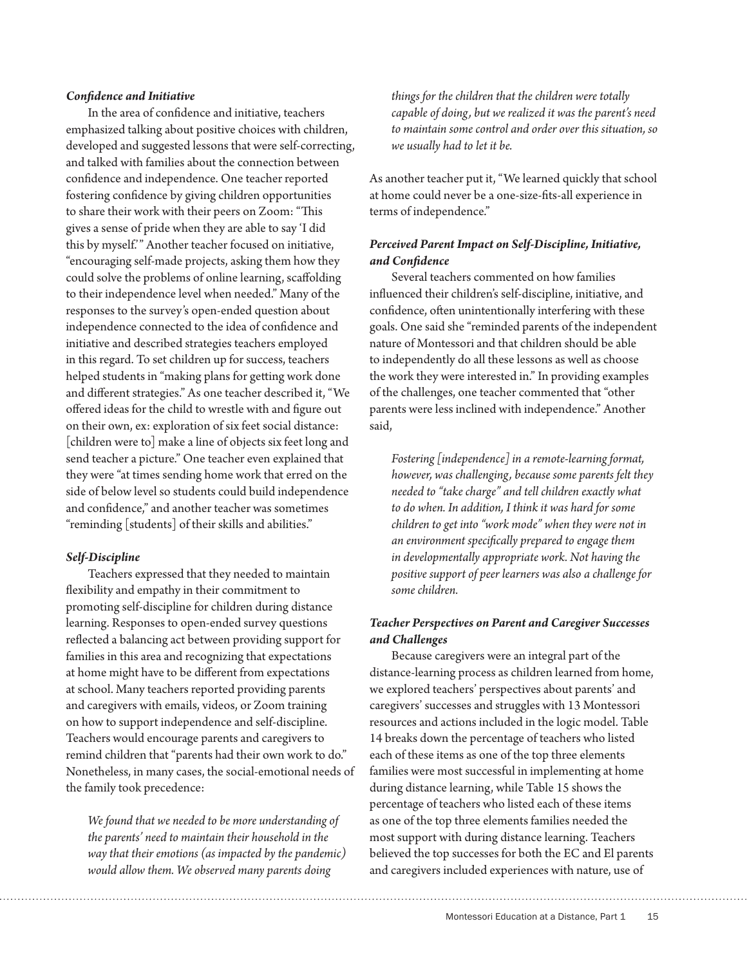#### *Confidence and Initiative*

In the area of confidence and initiative, teachers emphasized talking about positive choices with children, developed and suggested lessons that were self-correcting, and talked with families about the connection between confidence and independence. One teacher reported fostering confidence by giving children opportunities to share their work with their peers on Zoom: "This gives a sense of pride when they are able to say 'I did this by myself.'" Another teacher focused on initiative, "encouraging self-made projects, asking them how they could solve the problems of online learning, scaffolding to their independence level when needed." Many of the responses to the survey's open-ended question about independence connected to the idea of confidence and initiative and described strategies teachers employed in this regard. To set children up for success, teachers helped students in "making plans for getting work done and different strategies." As one teacher described it, "We offered ideas for the child to wrestle with and figure out on their own, ex: exploration of six feet social distance: [children were to] make a line of objects six feet long and send teacher a picture." One teacher even explained that they were "at times sending home work that erred on the side of below level so students could build independence and confidence," and another teacher was sometimes "reminding [students] of their skills and abilities."

## *Self-Discipline*

Teachers expressed that they needed to maintain flexibility and empathy in their commitment to promoting self-discipline for children during distance learning. Responses to open-ended survey questions reflected a balancing act between providing support for families in this area and recognizing that expectations at home might have to be different from expectations at school. Many teachers reported providing parents and caregivers with emails, videos, or Zoom training on how to support independence and self-discipline. Teachers would encourage parents and caregivers to remind children that "parents had their own work to do." Nonetheless, in many cases, the social-emotional needs of the family took precedence:

*We found that we needed to be more understanding of the parents' need to maintain their household in the way that their emotions (as impacted by the pandemic) would allow them. We observed many parents doing* 

*things for the children that the children were totally capable of doing, but we realized it was the parent's need to maintain some control and order over this situation, so we usually had to let it be.*

As another teacher put it, "We learned quickly that school at home could never be a one-size-fits-all experience in terms of independence."

## *Perceived Parent Impact on Self-Discipline, Initiative, and Confidence*

Several teachers commented on how families influenced their children's self-discipline, initiative, and confidence, often unintentionally interfering with these goals. One said she "reminded parents of the independent nature of Montessori and that children should be able to independently do all these lessons as well as choose the work they were interested in." In providing examples of the challenges, one teacher commented that "other parents were less inclined with independence." Another said,

*Fostering [independence] in a remote-learning format, however, was challenging, because some parents felt they needed to "take charge" and tell children exactly what to do when. In addition, I think it was hard for some children to get into "work mode" when they were not in an environment specifically prepared to engage them in developmentally appropriate work. Not having the positive support of peer learners was also a challenge for some children.*

## *Teacher Perspectives on Parent and Caregiver Successes and Challenges*

Because caregivers were an integral part of the distance-learning process as children learned from home, we explored teachers' perspectives about parents' and caregivers' successes and struggles with 13 Montessori resources and actions included in the logic model. Table 14 breaks down the percentage of teachers who listed each of these items as one of the top three elements families were most successful in implementing at home during distance learning, while Table 15 shows the percentage of teachers who listed each of these items as one of the top three elements families needed the most support with during distance learning. Teachers believed the top successes for both the EC and El parents and caregivers included experiences with nature, use of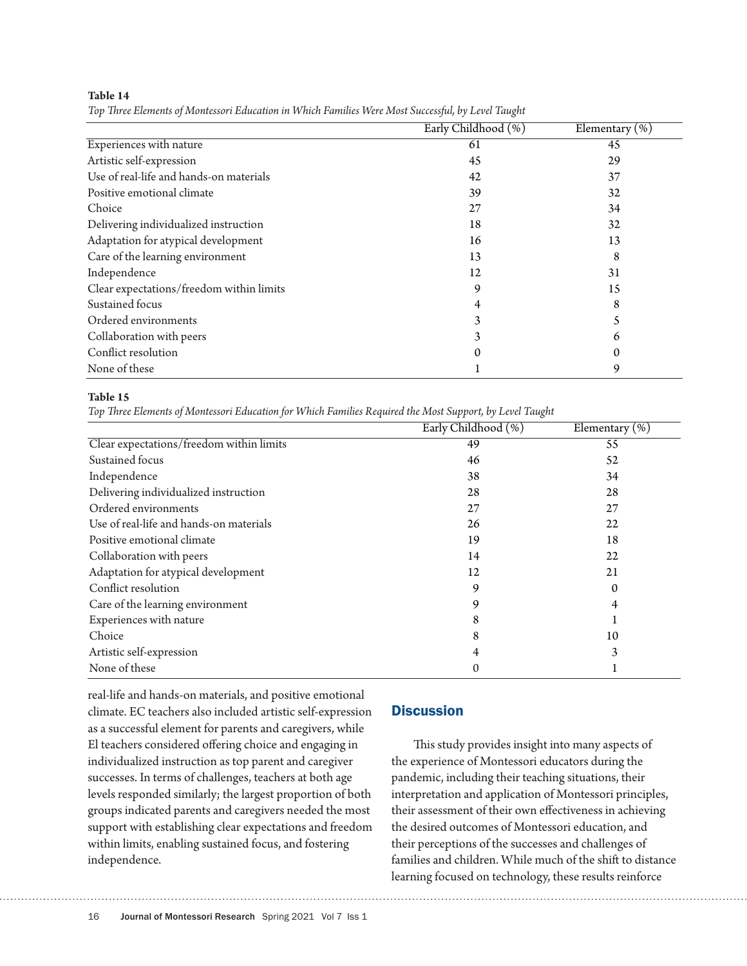**Table 14**

*Top Three Elements of Montessori Education in Which Families Were Most Successful, by Level Taught*

| Early Childhood (%) | Elementary $(\% )$ |  |  |
|---------------------|--------------------|--|--|
| 61                  | 45                 |  |  |
| 45                  | 29                 |  |  |
| 42                  | 37                 |  |  |
| 39                  | 32                 |  |  |
| 27                  | 34                 |  |  |
| 18                  | 32                 |  |  |
| 16                  | 13                 |  |  |
| 13                  | 8                  |  |  |
| 12                  | 31                 |  |  |
| 9                   | 15                 |  |  |
| 4                   | 8                  |  |  |
|                     |                    |  |  |
|                     | 6                  |  |  |
| 0                   | 0                  |  |  |
|                     | 9                  |  |  |
|                     |                    |  |  |

#### **Table 15**

*Top Three Elements of Montessori Education for Which Families Required the Most Support, by Level Taught*

|                                          | Early Childhood (%) | Elementary $(\%)$ |
|------------------------------------------|---------------------|-------------------|
| Clear expectations/freedom within limits | 49                  | 55                |
| Sustained focus                          | 46                  | 52                |
| Independence                             | 38                  | 34                |
| Delivering individualized instruction    | 28                  | 28                |
| Ordered environments                     | 27                  | 27                |
| Use of real-life and hands-on materials  | 26                  | 22                |
| Positive emotional climate               | 19                  | 18                |
| Collaboration with peers                 | 14                  | 22                |
| Adaptation for atypical development      | 12                  | 21                |
| Conflict resolution                      | 9                   | 0                 |
| Care of the learning environment         | 9                   | 4                 |
| Experiences with nature                  | 8                   |                   |
| Choice                                   | 8                   | 10                |
| Artistic self-expression                 |                     | 3                 |
| None of these                            |                     |                   |

real-life and hands-on materials, and positive emotional climate. EC teachers also included artistic self-expression as a successful element for parents and caregivers, while El teachers considered offering choice and engaging in individualized instruction as top parent and caregiver successes. In terms of challenges, teachers at both age levels responded similarly; the largest proportion of both groups indicated parents and caregivers needed the most support with establishing clear expectations and freedom within limits, enabling sustained focus, and fostering independence.

## **Discussion**

This study provides insight into many aspects of the experience of Montessori educators during the pandemic, including their teaching situations, their interpretation and application of Montessori principles, their assessment of their own effectiveness in achieving the desired outcomes of Montessori education, and their perceptions of the successes and challenges of families and children. While much of the shift to distance learning focused on technology, these results reinforce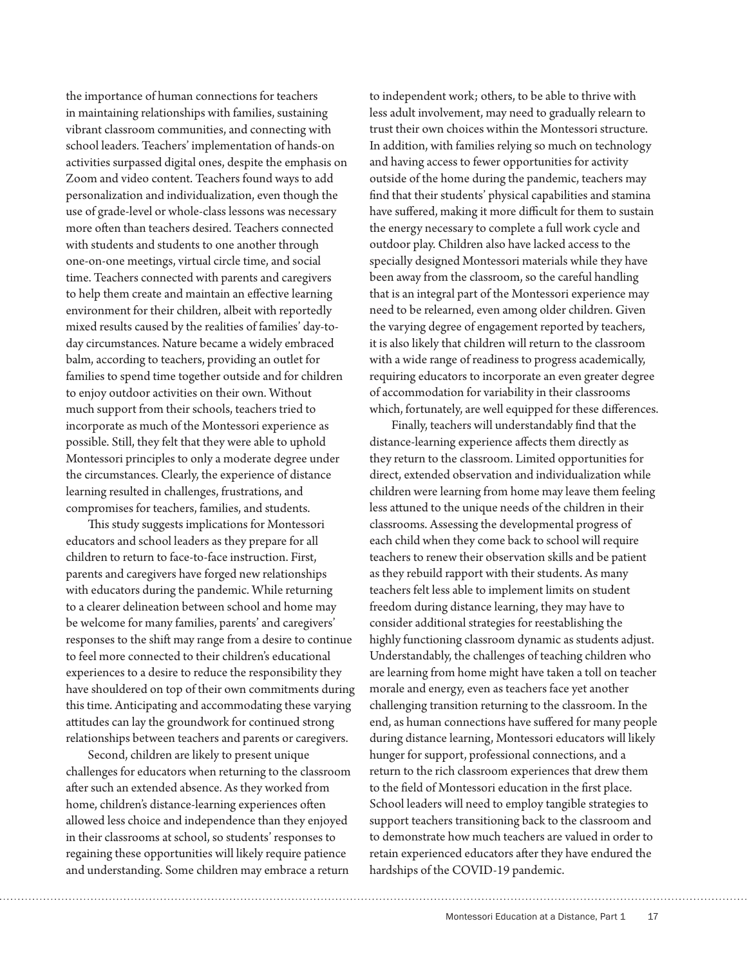the importance of human connections for teachers in maintaining relationships with families, sustaining vibrant classroom communities, and connecting with school leaders. Teachers' implementation of hands-on activities surpassed digital ones, despite the emphasis on Zoom and video content. Teachers found ways to add personalization and individualization, even though the use of grade-level or whole-class lessons was necessary more often than teachers desired. Teachers connected with students and students to one another through one-on-one meetings, virtual circle time, and social time. Teachers connected with parents and caregivers to help them create and maintain an effective learning environment for their children, albeit with reportedly mixed results caused by the realities of families' day-today circumstances. Nature became a widely embraced balm, according to teachers, providing an outlet for families to spend time together outside and for children to enjoy outdoor activities on their own. Without much support from their schools, teachers tried to incorporate as much of the Montessori experience as possible. Still, they felt that they were able to uphold Montessori principles to only a moderate degree under the circumstances. Clearly, the experience of distance learning resulted in challenges, frustrations, and compromises for teachers, families, and students.

This study suggests implications for Montessori educators and school leaders as they prepare for all children to return to face-to-face instruction. First, parents and caregivers have forged new relationships with educators during the pandemic. While returning to a clearer delineation between school and home may be welcome for many families, parents' and caregivers' responses to the shift may range from a desire to continue to feel more connected to their children's educational experiences to a desire to reduce the responsibility they have shouldered on top of their own commitments during this time. Anticipating and accommodating these varying attitudes can lay the groundwork for continued strong relationships between teachers and parents or caregivers.

Second, children are likely to present unique challenges for educators when returning to the classroom after such an extended absence. As they worked from home, children's distance-learning experiences often allowed less choice and independence than they enjoyed in their classrooms at school, so students' responses to regaining these opportunities will likely require patience and understanding. Some children may embrace a return

to independent work; others, to be able to thrive with less adult involvement, may need to gradually relearn to trust their own choices within the Montessori structure. In addition, with families relying so much on technology and having access to fewer opportunities for activity outside of the home during the pandemic, teachers may find that their students' physical capabilities and stamina have suffered, making it more difficult for them to sustain the energy necessary to complete a full work cycle and outdoor play. Children also have lacked access to the specially designed Montessori materials while they have been away from the classroom, so the careful handling that is an integral part of the Montessori experience may need to be relearned, even among older children. Given the varying degree of engagement reported by teachers, it is also likely that children will return to the classroom with a wide range of readiness to progress academically, requiring educators to incorporate an even greater degree of accommodation for variability in their classrooms which, fortunately, are well equipped for these differences.

Finally, teachers will understandably find that the distance-learning experience affects them directly as they return to the classroom. Limited opportunities for direct, extended observation and individualization while children were learning from home may leave them feeling less attuned to the unique needs of the children in their classrooms. Assessing the developmental progress of each child when they come back to school will require teachers to renew their observation skills and be patient as they rebuild rapport with their students. As many teachers felt less able to implement limits on student freedom during distance learning, they may have to consider additional strategies for reestablishing the highly functioning classroom dynamic as students adjust. Understandably, the challenges of teaching children who are learning from home might have taken a toll on teacher morale and energy, even as teachers face yet another challenging transition returning to the classroom. In the end, as human connections have suffered for many people during distance learning, Montessori educators will likely hunger for support, professional connections, and a return to the rich classroom experiences that drew them to the field of Montessori education in the first place. School leaders will need to employ tangible strategies to support teachers transitioning back to the classroom and to demonstrate how much teachers are valued in order to retain experienced educators after they have endured the hardships of the COVID-19 pandemic.

Montessori Education at a Distance, Part 1 17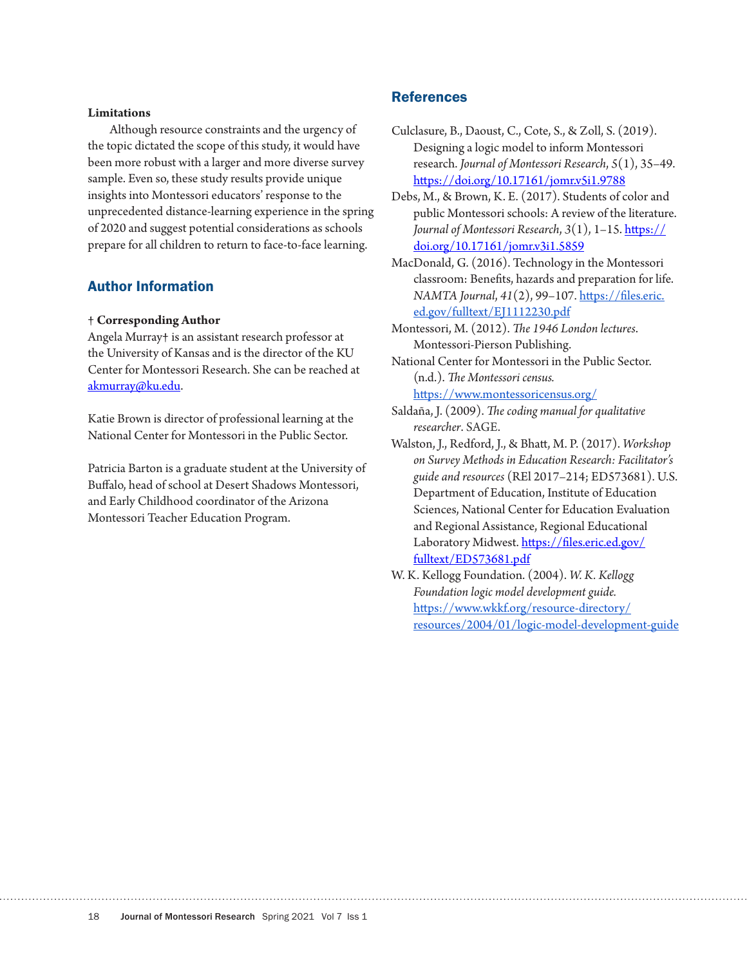#### **Limitations**

Although resource constraints and the urgency of the topic dictated the scope of this study, it would have been more robust with a larger and more diverse survey sample. Even so, these study results provide unique insights into Montessori educators' response to the unprecedented distance-learning experience in the spring of 2020 and suggest potential considerations as schools prepare for all children to return to face-to-face learning.

## Author Information

#### **† Corresponding Author**

Angela Murray**†** is an assistant research professor at the University of Kansas and is the director of the KU Center for Montessori Research. She can be reached at akmurray@ku.edu.

Katie Brown is director of professional learning at the National Center for Montessori in the Public Sector.

Patricia Barton is a graduate student at the University of Buffalo, head of school at Desert Shadows Montessori, and Early Childhood coordinator of the Arizona Montessori Teacher Education Program.

## References

- Culclasure, B., Daoust, C., Cote, S., & Zoll, S. (2019). Designing a logic model to inform Montessori research. *Journal of Montessori Research*, *5*(1), 35–49. https://doi.org/10.17161/jomr.v5i1.9788
- Debs, M., & Brown, K. E. (2017). Students of color and public Montessori schools: A review of the literature. *Journal of Montessori Research*, *3*(1), 1–15. https:// doi.org/10.17161/jomr.v3i1.5859
- MacDonald, G. (2016). Technology in the Montessori classroom: Benefits, hazards and preparation for life. *NAMTA Journal*, *41*(2), 99–107. https://files.eric. ed.gov/fulltext/EJ1112230.pdf

Montessori, M. (2012). *The 1946 London lectures*. Montessori-Pierson Publishing.

National Center for Montessori in the Public Sector. (n.d.). *The Montessori census.*

https://www.montessoricensus.org/

- Saldaña, J. (2009). *The coding manual for qualitative researcher*. SAGE.
- Walston, J., Redford, J., & Bhatt, M. P. (2017). *Workshop on Survey Methods in Education Research: Facilitator's guide and resources* (REl 2017–214; ED573681). U.S. Department of Education, Institute of Education Sciences, National Center for Education Evaluation and Regional Assistance, Regional Educational Laboratory Midwest. https://files.eric.ed.gov/ fulltext/ED573681.pdf
- W. K. Kellogg Foundation. (2004). *W. K. Kellogg Foundation logic model development guide.*  https://www.wkkf.org/resource-directory/ resources/2004/01/logic-model-development-guide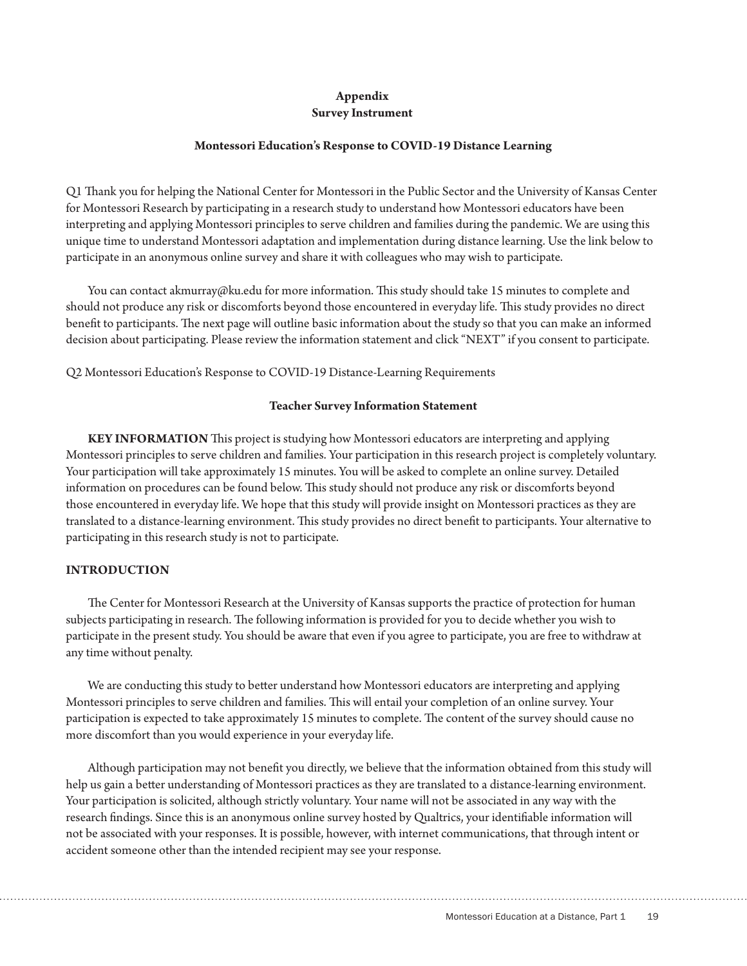# **Appendix**

## **Survey Instrument**

#### **Montessori Education's Response to COVID-19 Distance Learning**

Q1 Thank you for helping the National Center for Montessori in the Public Sector and the University of Kansas Center for Montessori Research by participating in a research study to understand how Montessori educators have been interpreting and applying Montessori principles to serve children and families during the pandemic. We are using this unique time to understand Montessori adaptation and implementation during distance learning. Use the link below to participate in an anonymous online survey and share it with colleagues who may wish to participate.

You can contact akmurray@ku.edu for more information. This study should take 15 minutes to complete and should not produce any risk or discomforts beyond those encountered in everyday life. This study provides no direct benefit to participants. The next page will outline basic information about the study so that you can make an informed decision about participating. Please review the information statement and click "NEXT" if you consent to participate.

Q2 Montessori Education's Response to COVID-19 Distance-Learning Requirements

#### **Teacher Survey Information Statement**

**KEY INFORMATION** This project is studying how Montessori educators are interpreting and applying Montessori principles to serve children and families. Your participation in this research project is completely voluntary. Your participation will take approximately 15 minutes. You will be asked to complete an online survey. Detailed information on procedures can be found below. This study should not produce any risk or discomforts beyond those encountered in everyday life. We hope that this study will provide insight on Montessori practices as they are translated to a distance-learning environment. This study provides no direct benefit to participants. Your alternative to participating in this research study is not to participate.

## **INTRODUCTION**

The Center for Montessori Research at the University of Kansas supports the practice of protection for human subjects participating in research. The following information is provided for you to decide whether you wish to participate in the present study. You should be aware that even if you agree to participate, you are free to withdraw at any time without penalty.

We are conducting this study to better understand how Montessori educators are interpreting and applying Montessori principles to serve children and families. This will entail your completion of an online survey. Your participation is expected to take approximately 15 minutes to complete. The content of the survey should cause no more discomfort than you would experience in your everyday life.

Although participation may not benefit you directly, we believe that the information obtained from this study will help us gain a better understanding of Montessori practices as they are translated to a distance-learning environment. Your participation is solicited, although strictly voluntary. Your name will not be associated in any way with the research findings. Since this is an anonymous online survey hosted by Qualtrics, your identifiable information will not be associated with your responses. It is possible, however, with internet communications, that through intent or accident someone other than the intended recipient may see your response.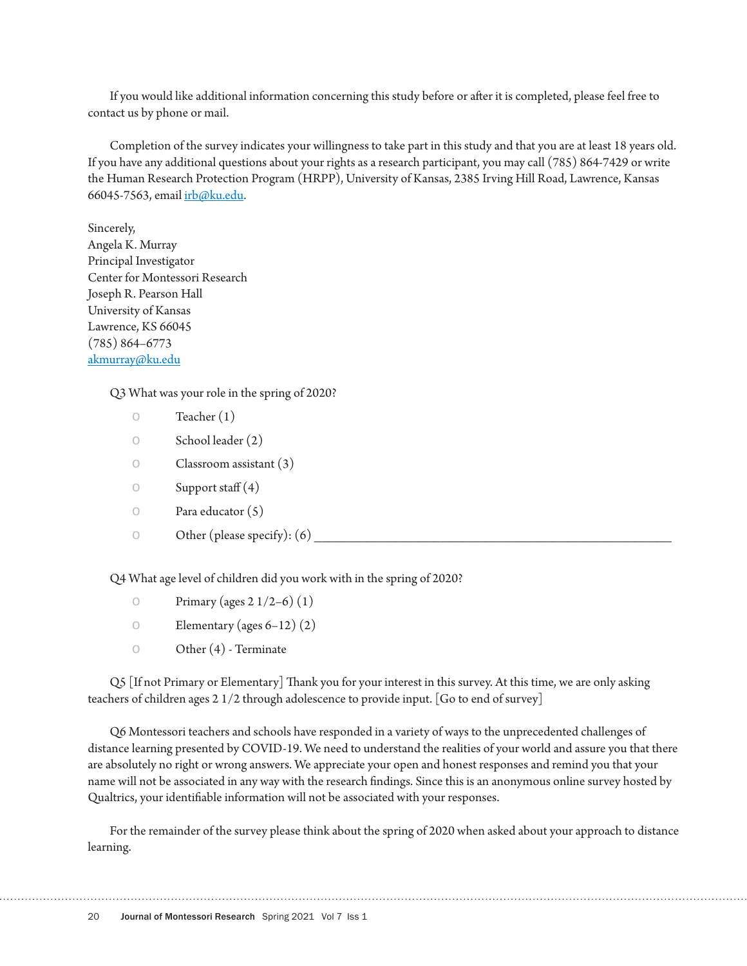If you would like additional information concerning this study before or after it is completed, please feel free to contact us by phone or mail.

Completion of the survey indicates your willingness to take part in this study and that you are at least 18 years old. If you have any additional questions about your rights as a research participant, you may call (785) 864-7429 or write the Human Research Protection Program (HRPP), University of Kansas, 2385 Irving Hill Road, Lawrence, Kansas 66045-7563, email irb@ku.edu.

Sincerely, Angela K. Murray Principal Investigator Center for Montessori Research Joseph R. Pearson Hall University of Kansas Lawrence, KS 66045 (785) 864–6773 akmurray@ku.edu

Q3 What was your role in the spring of 2020?

|                     | Teacher $(1)$                 |
|---------------------|-------------------------------|
| $\circlearrowright$ | School leader (2)             |
| $\bigcirc$          | Classroom assistant $(3)$     |
| $\circlearrowright$ | Support staff $(4)$           |
| $\circ$             | Para educator $(5)$           |
| $\bigcirc$          | Other (please specify): $(6)$ |
|                     |                               |

Q4 What age level of children did you work with in the spring of 2020?

| Primary (ages $2 \frac{1}{2 - 6}$ ) (1) |  |
|-----------------------------------------|--|
|-----------------------------------------|--|

- $\circ$  Elementary (ages 6–12) (2)
- $\circ$  Other (4) Terminate

Q5 [If not Primary or Elementary] Thank you for your interest in this survey. At this time, we are only asking teachers of children ages 2 1/2 through adolescence to provide input. [Go to end of survey]

Q6 Montessori teachers and schools have responded in a variety of ways to the unprecedented challenges of distance learning presented by COVID-19. We need to understand the realities of your world and assure you that there are absolutely no right or wrong answers. We appreciate your open and honest responses and remind you that your name will not be associated in any way with the research findings. Since this is an anonymous online survey hosted by Qualtrics, your identifiable information will not be associated with your responses.

For the remainder of the survey please think about the spring of 2020 when asked about your approach to distance learning.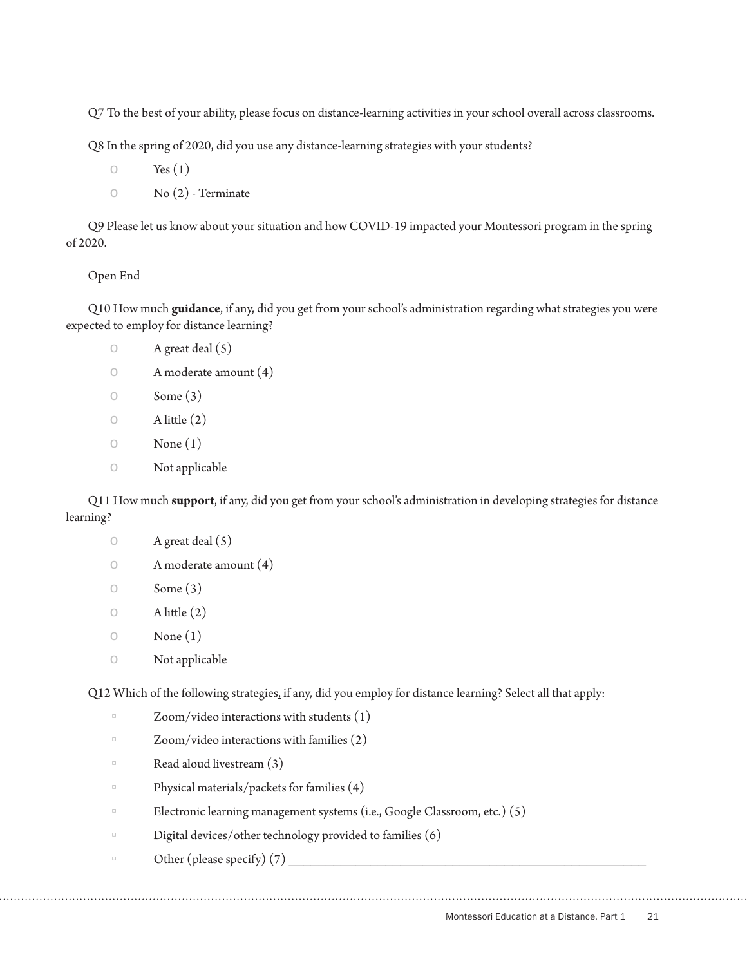Q7 To the best of your ability, please focus on distance-learning activities in your school overall across classrooms.

Q8 In the spring of 2020, did you use any distance-learning strategies with your students?

- $\circ$  Yes  $(1)$
- $\circ$  No  $(2)$  Terminate

Q9 Please let us know about your situation and how COVID-19 impacted your Montessori program in the spring of 2020.

## Open End

Q10 How much **guidance**, if any, did you get from your school's administration regarding what strategies you were expected to employ for distance learning?

- $\circ$  A great deal  $(5)$
- o A moderate amount (4)
- $\circ$  Some (3)
- $\circ$  A little  $(2)$
- $\circ$  None  $(1)$
- o Not applicable

Q11 How much **support**, if any, did you get from your school's administration in developing strategies for distance learning?

- $\circ$  A great deal  $(5)$
- o A moderate amount (4)
- $\circ$  Some (3)
- $\circ$  A little  $(2)$
- $\circ$  None  $(1)$
- o Not applicable

Q12 Which of the following strategies, if any, did you employ for distance learning? Select all that apply:

- $Zoom/video$  interactions with students  $(1)$
- $\Box$  Zoom/video interactions with families  $(2)$
- $\Box$  Read aloud livestream  $(3)$
- $\Box$  Physical materials/packets for families (4)
- $\Box$  Electronic learning management systems (i.e., Google Classroom, etc.) (5)
- $\Box$  Digital devices/other technology provided to families  $(6)$
- $\Box$  Other (please specify) (7)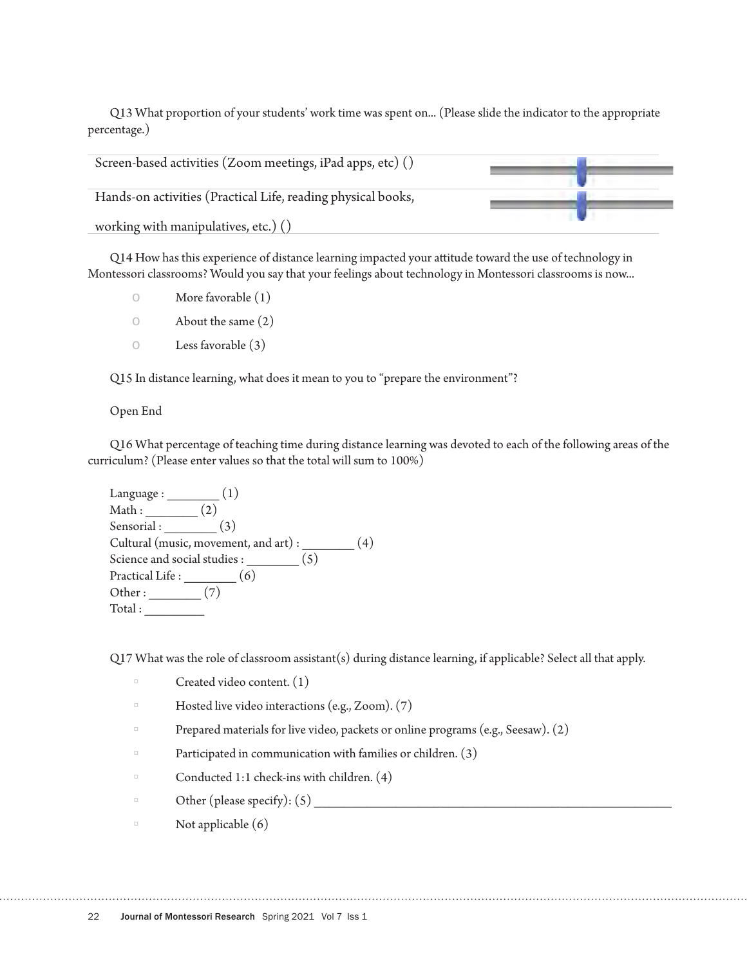Q13 What proportion of your students' work time was spent on... (Please slide the indicator to the appropriate percentage.)

| Screen-based activities (Zoom meetings, iPad apps, etc) ()   |  |
|--------------------------------------------------------------|--|
| Hands-on activities (Practical Life, reading physical books, |  |
| working with manipulatives, etc.) ()                         |  |

Q14 How has this experience of distance learning impacted your attitude toward the use of technology in Montessori classrooms? Would you say that your feelings about technology in Montessori classrooms is now...

- o More favorable (1)
- o About the same (2)
- o Less favorable (3)

Q15 In distance learning, what does it mean to you to "prepare the environment"?

Open End

Q16 What percentage of teaching time during distance learning was devoted to each of the following areas of the curriculum? (Please enter values so that the total will sum to 100%)

Language : \_\_\_\_\_\_\_ (1) Math : \_\_\_\_\_\_\_\_\_\_ (2) Sensorial : \_\_\_\_\_\_\_\_ (3) Cultural (music, movement, and art) :  $\qquad \qquad (4)$ Science and social studies : \_\_\_\_\_\_\_\_ (5) Practical Life :  $\boxed{\qquad \qquad (6)}$ Other :  $(7)$  $Total:$ 

Q17 What was the role of classroom assistant(s) during distance learning, if applicable? Select all that apply.

- $\Box$  Created video content.  $(1)$
- $\Box$  Hosted live video interactions (e.g., Zoom). (7)
- $\Box$  Prepared materials for live video, packets or online programs (e.g., Seesaw). (2)

- $\Box$  Participated in communication with families or children. (3)
- $\Box$  Conducted 1:1 check-ins with children. (4)
- $\Box$  Other (please specify): (5)
- $\Box$  Not applicable  $(6)$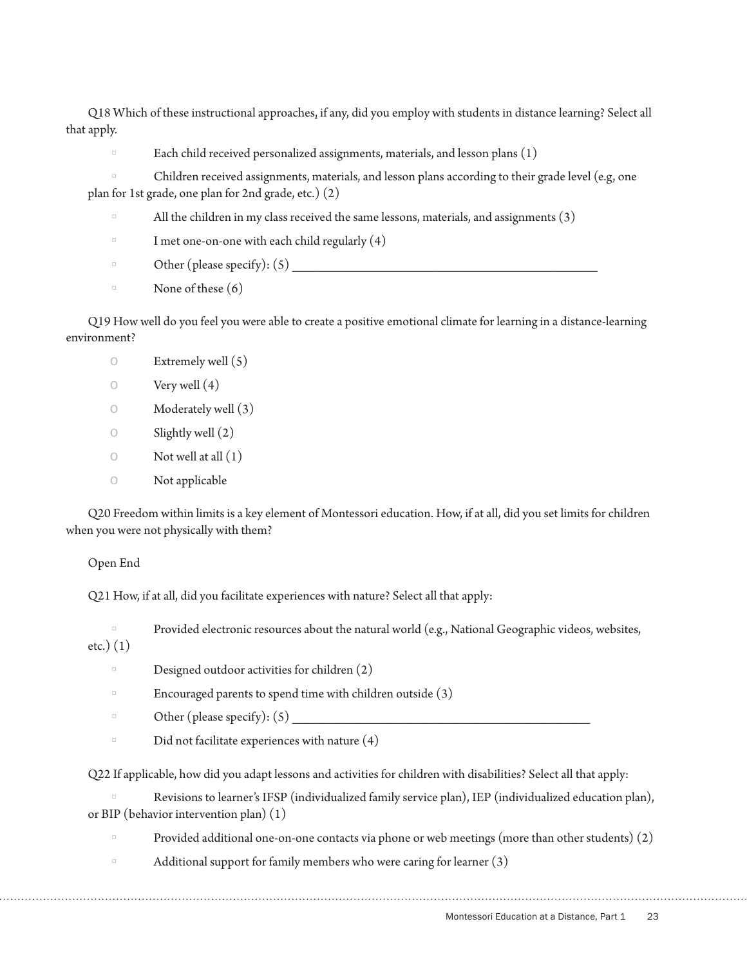Q18 Which of these instructional approaches, if any, did you employ with students in distance learning? Select all that apply.

Each child received personalized assignments, materials, and lesson plans  $(1)$ 

Children received assignments, materials, and lesson plans according to their grade level (e.g, one plan for 1st grade, one plan for 2nd grade, etc.) (2)

- All the children in my class received the same lessons, materials, and assignments  $(3)$
- $\Box$  I met one-on-one with each child regularly  $(4)$
- Other (please specify):  $(5)$
- $\Box$  None of these  $(6)$

Q19 How well do you feel you were able to create a positive emotional climate for learning in a distance-learning environment?

- $\circ$  Extremely well  $(5)$
- $\circ$  Very well (4)
- o Moderately well (3)
- $\circ$  Slightly well  $(2)$
- $\circ$  Not well at all  $(1)$
- o Not applicable

Q20 Freedom within limits is a key element of Montessori education. How, if at all, did you set limits for children when you were not physically with them?

#### Open End

Q21 How, if at all, did you facilitate experiences with nature? Select all that apply:

Provided electronic resources about the natural world (e.g., National Geographic videos, websites, etc.) (1)

- Designed outdoor activities for children  $(2)$
- Encouraged parents to spend time with children outside  $(3)$
- $\Box$  Other (please specify): (5)
- $\Box$  Did not facilitate experiences with nature  $(4)$

Q22 If applicable, how did you adapt lessons and activities for children with disabilities? Select all that apply:

Revisions to learner's IFSP (individualized family service plan), IEP (individualized education plan), or BIP (behavior intervention plan) (1)

- $\Box$  Provided additional one-on-one contacts via phone or web meetings (more than other students) (2)
- Additional support for family members who were caring for learner  $(3)$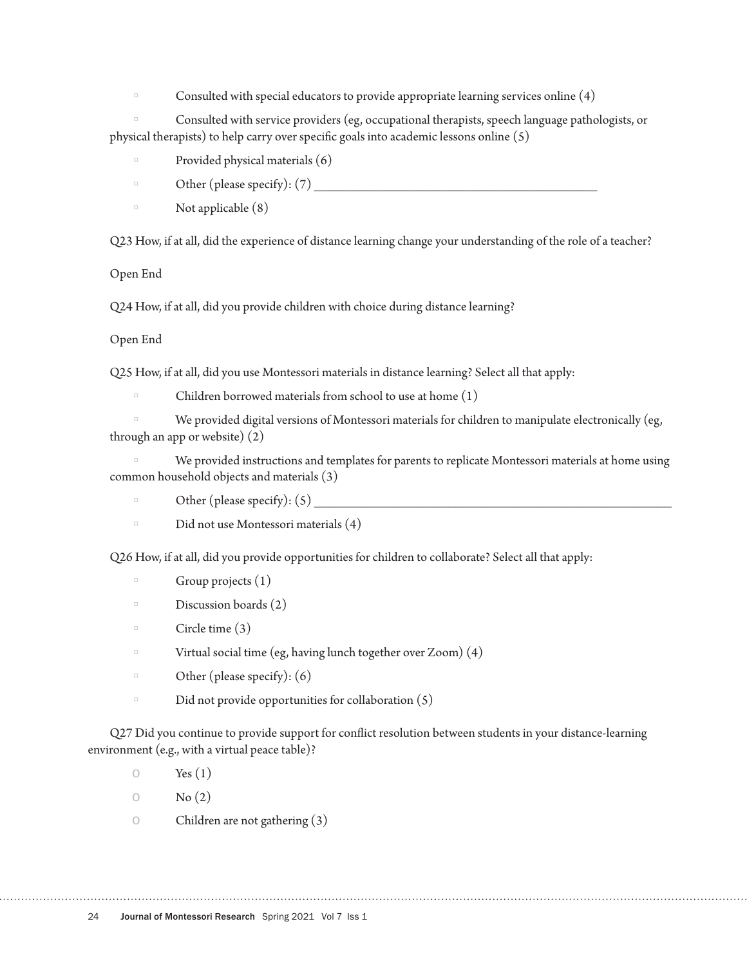Consulted with special educators to provide appropriate learning services online (4)

Consulted with service providers (eg, occupational therapists, speech language pathologists, or physical therapists) to help carry over specific goals into academic lessons online (5)

- $\Box$  Provided physical materials  $(6)$
- $\Box$  Other (please specify):  $(7)$
- $\Box$  Not applicable  $(8)$

Q23 How, if at all, did the experience of distance learning change your understanding of the role of a teacher?

Open End

Q24 How, if at all, did you provide children with choice during distance learning?

## Open End

Q25 How, if at all, did you use Montessori materials in distance learning? Select all that apply:

Children borrowed materials from school to use at home  $(1)$ 

We provided digital versions of Montessori materials for children to manipulate electronically (eg, through an app or website) (2)

We provided instructions and templates for parents to replicate Montessori materials at home using common household objects and materials (3)

- $\Box$  Other (please specify): (5)
- $\Box$  Did not use Montessori materials  $(4)$

Q26 How, if at all, did you provide opportunities for children to collaborate? Select all that apply:

- $\Box$  Group projects  $(1)$
- $\Box$  Discussion boards (2)
- $\Box$  Circle time (3)
- $\Box$  Virtual social time (eg, having lunch together over Zoom) (4)
- $\Box$  Other (please specify): (6)
- $\Box$  Did not provide opportunities for collaboration (5)

Q27 Did you continue to provide support for conflict resolution between students in your distance-learning environment (e.g., with a virtual peace table)?

- $\circ$  Yes  $(1)$
- $\circ$  No  $(2)$
- $\circ$  Children are not gathering (3)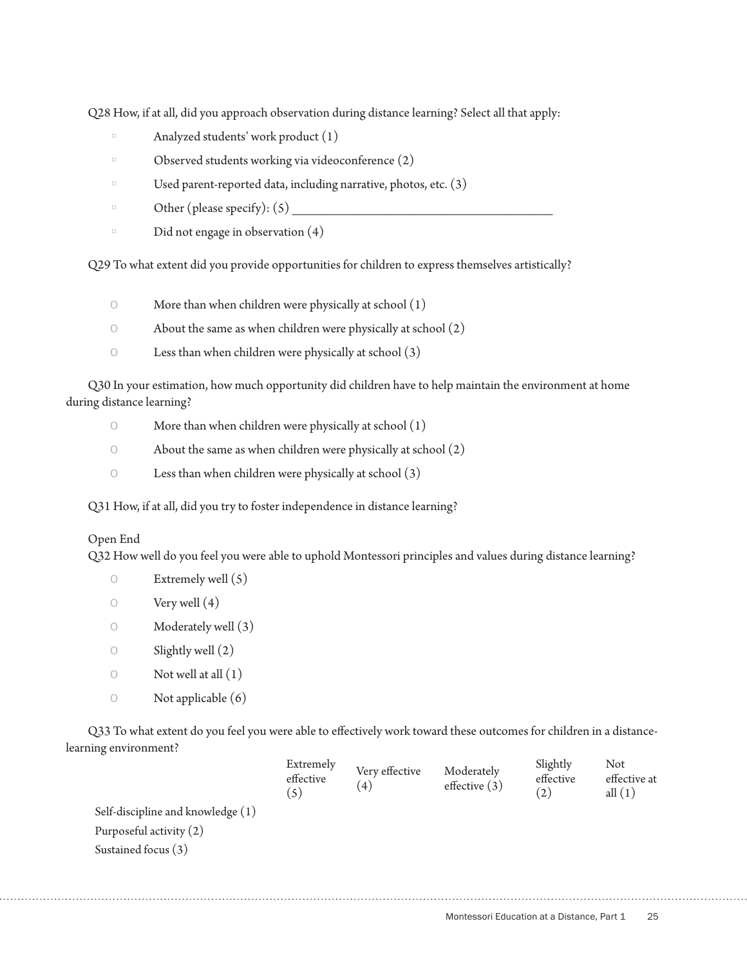Q28 How, if at all, did you approach observation during distance learning? Select all that apply:

- $\Box$  Analyzed students' work product  $(1)$
- $\Box$  Observed students working via videoconference  $(2)$
- $\Box$  Used parent-reported data, including narrative, photos, etc. (3)
- $\Box$  Other (please specify): (5)
- $\Box$  Did not engage in observation  $(4)$

Q29 To what extent did you provide opportunities for children to express themselves artistically?

- $\circ$  More than when children were physically at school  $(1)$
- $\circ$  About the same as when children were physically at school  $(2)$
- $\circ$  Less than when children were physically at school  $(3)$

Q30 In your estimation, how much opportunity did children have to help maintain the environment at home during distance learning?

- $\circ$  More than when children were physically at school  $(1)$
- $\circ$  About the same as when children were physically at school  $(2)$
- $\circ$  Less than when children were physically at school  $(3)$

Q31 How, if at all, did you try to foster independence in distance learning?

## Open End

Q32 How well do you feel you were able to uphold Montessori principles and values during distance learning?

- $\circ$  Extremely well (5)
- $\circ$  Very well  $(4)$
- $\circ$  Moderately well  $(3)$
- $\circ$  Slightly well  $(2)$
- $\circ$  Not well at all  $(1)$
- $\circ$  Not applicable  $(6)$

Q33 To what extent do you feel you were able to effectively work toward these outcomes for children in a distancelearning environment?

|                                   | Extremely<br>effective<br>(5) | Very effective<br>(4) | Moderately<br>effective $(3)$ | Slightly<br>effective<br>(2) | Not<br>effective at<br>all $(1)$ |
|-----------------------------------|-------------------------------|-----------------------|-------------------------------|------------------------------|----------------------------------|
| Self-discipline and knowledge (1) |                               |                       |                               |                              |                                  |
| Purposeful activity (2)           |                               |                       |                               |                              |                                  |
| Sustained focus (3)               |                               |                       |                               |                              |                                  |
|                                   |                               |                       |                               |                              |                                  |
|                                   |                               |                       |                               |                              |                                  |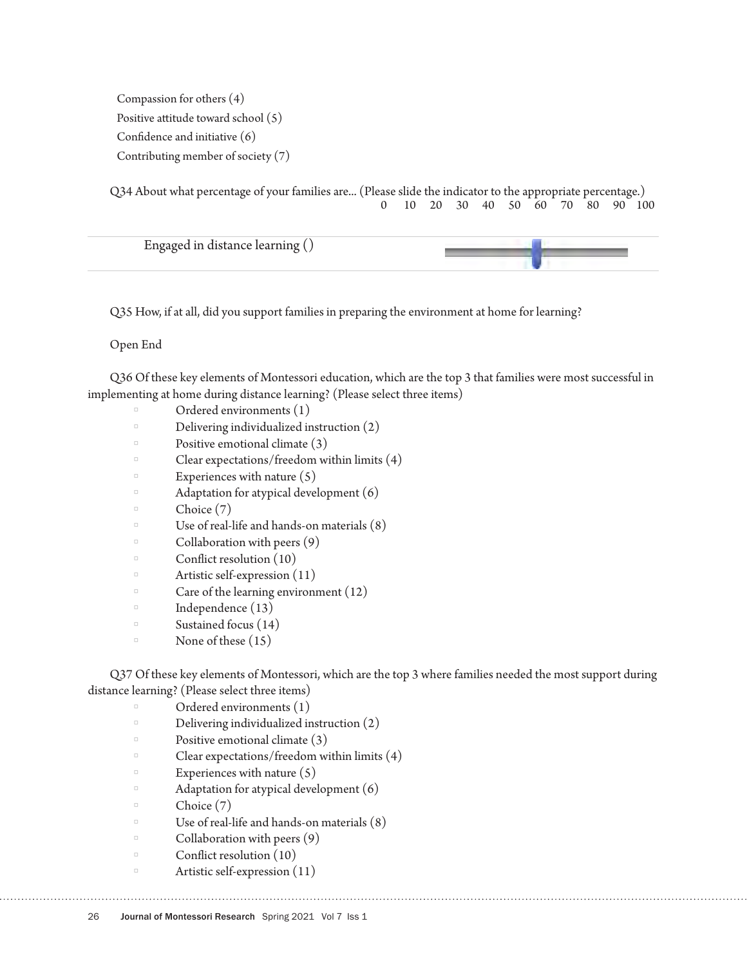Compassion for others (4) Positive attitude toward school (5) Confidence and initiative (6) Contributing member of society (7)

Q34 About what percentage of your families are... (Please slide the indicator to the appropriate percentage.) 0 10 20 30 40 50 60 70 80 90 100

| Engaged in distance learning () |  |
|---------------------------------|--|
|                                 |  |

Q35 How, if at all, did you support families in preparing the environment at home for learning?

Open End

Q36 Of these key elements of Montessori education, which are the top 3 that families were most successful in implementing at home during distance learning? (Please select three items)

- Ordered environments (1)
- $\Box$  Delivering individualized instruction (2)
- Positive emotional climate (3)
- Clear expectations/freedom within limits  $(4)$
- Experiences with nature  $(5)$
- $\Box$  Adaptation for atypical development  $(6)$
- $\Box$  Choice (7)
- □ Use of real-life and hands-on materials  $(8)$ <br>Collaboration with peers  $(9)$
- Collaboration with peers  $(9)$
- $\Box$  Conflict resolution (10)
- $\Box$  Artistic self-expression (11)
- $\Box$  Care of the learning environment (12)
- $\Box$  Independence (13)
- $\Box$  Sustained focus (14)
- $\Box$  None of these  $(15)$

Q37 Of these key elements of Montessori, which are the top 3 where families needed the most support during distance learning? (Please select three items)

- Ordered environments (1)
- Delivering individualized instruction (2)
- Positive emotional climate  $(3)$
- Clear expectations/freedom within limits  $(4)$
- Experiences with nature  $(5)$
- $\Box$  Adaptation for atypical development  $(6)$
- $\Box$  Choice (7)
- □ Use of real-life and hands-on materials  $(8)$ <br>Collaboration with peers  $(9)$
- $\Box$  Collaboration with peers (9)
- Conflict resolution (10)
- $\Box$  Artistic self-expression (11)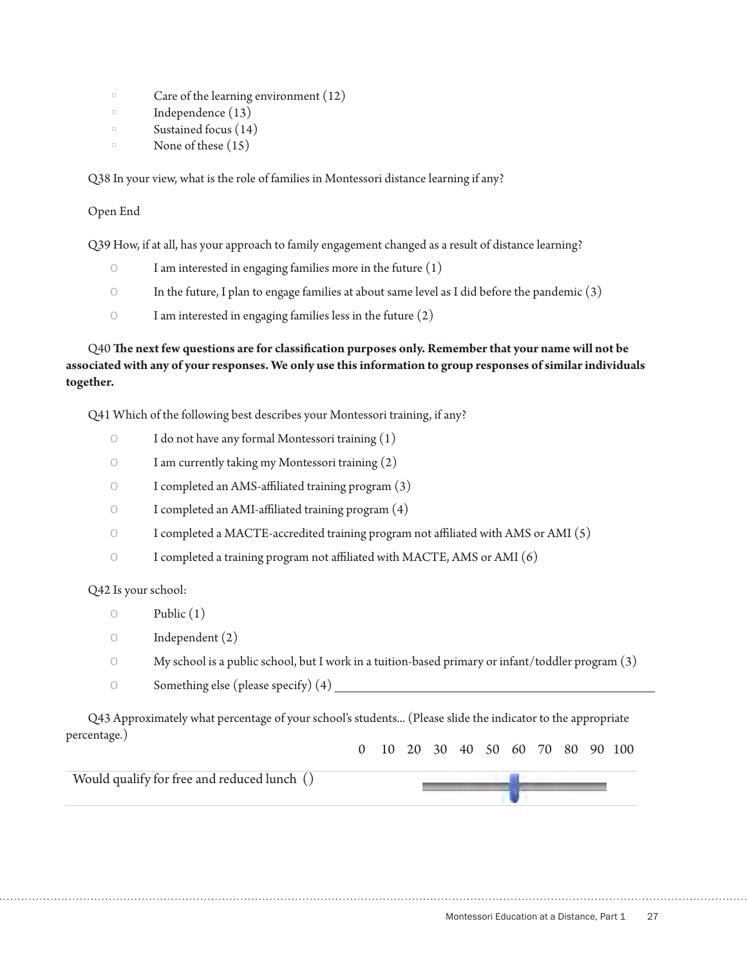- Care of the learning environment  $(12)$
- $\Box$  Independence (13)
- $\Box$  Sustained focus (14)
- None of these  $(15)$

Q38 In your view, what is the role of families in Montessori distance learning if any?

Open End

Q39 How, if at all, has your approach to family engagement changed as a result of distance learning?

- $\circ$  I am interested in engaging families more in the future  $(1)$
- $\circ$  In the future, I plan to engage families at about same level as I did before the pandemic (3)
- $\circ$  I am interested in engaging families less in the future  $(2)$

Q40 **The next few questions are for classification purposes only. Remember that your name will not be associated with any of your responses. We only use this information to group responses of similar individuals together.**

Q41 Which of the following best describes your Montessori training, if any?

- $\circ$  I do not have any formal Montessori training  $(1)$
- o I am currently taking my Montessori training (2)
- o I completed an AMS-affiliated training program (3)
- o I completed an AMI-affiliated training program (4)
- $\circ$  I completed a MACTE-accredited training program not affiliated with AMS or AMI (5)
- o I completed a training program not affiliated with MACTE, AMS or AMI (6)

Q42 Is your school:

- $\circ$  Public  $(1)$
- o Independent (2)
- $\circ$  My school is a public school, but I work in a tuition-based primary or infant/toddler program  $(3)$
- $\circ$  Something else (please specify)  $(4)$

Q43 Approximately what percentage of your school's students... (Please slide the indicator to the appropriate percentage.) 0 10 20 30 40 50 60 70 80 90 100

Would qualify for free and reduced lunch ()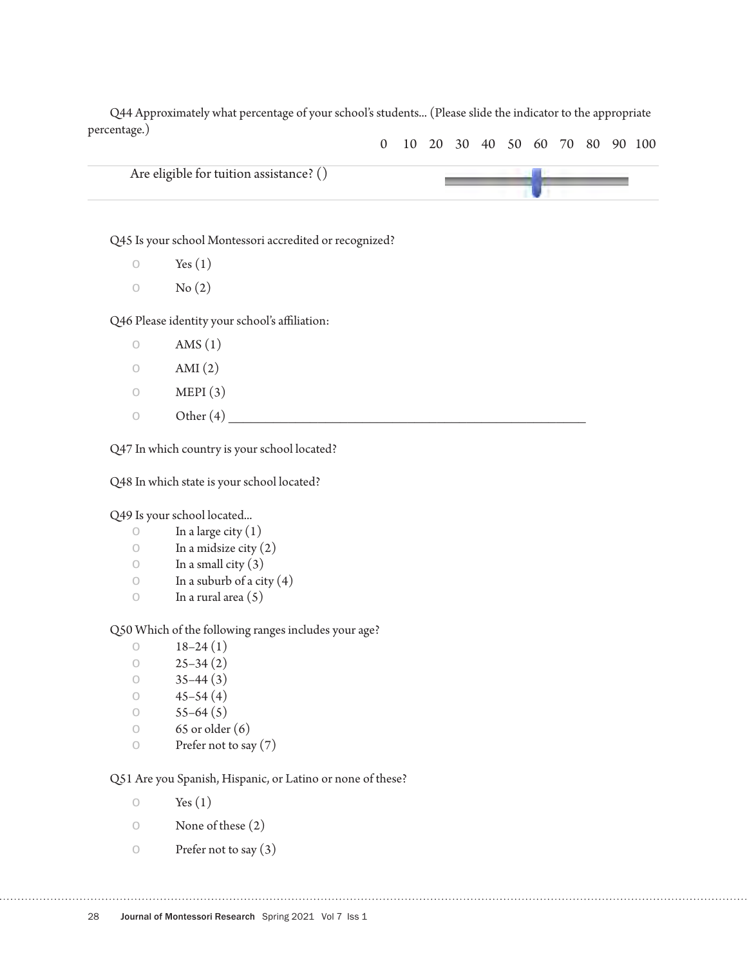Q44 Approximately what percentage of your school's students... (Please slide the indicator to the appropriate percentage.)



Q45 Is your school Montessori accredited or recognized?

 $\circ$  Yes  $(1)$ 

 $\circ$  No  $(2)$ 

Q46 Please identity your school's affiliation:

- $\circ$  AMS (1)  $\circ$  AMI (2)  $\circ$  MEPI (3)
- $\circ$  Other (4)

Q47 In which country is your school located?

Q48 In which state is your school located?

Q49 Is your school located...

- $\circ$  In a large city (1)
- $\circ$  In a midsize city (2)
- $\circ$  In a small city (3)
- $\circ$  In a suburb of a city (4)<br> $\circ$  In a rural area (5)
- In a rural area  $(5)$

Q50 Which of the following ranges includes your age?

- $\circ$  18–24 (1)<br> $\circ$  25–34 (2)
- $25-34(2)$
- $\circ$  35–44 (3)
- $\circ$  45–54 (4)
- $55-64(5)$
- $\circ$  65 or older (6)
- o Prefer not to say (7)

Q51 Are you Spanish, Hispanic, or Latino or none of these?

- $\circ$  Yes  $(1)$
- o None of these (2)
- $\circ$  Prefer not to say (3)

28 Journal of Montessori Research Spring 2021 Vol 7 Iss 1